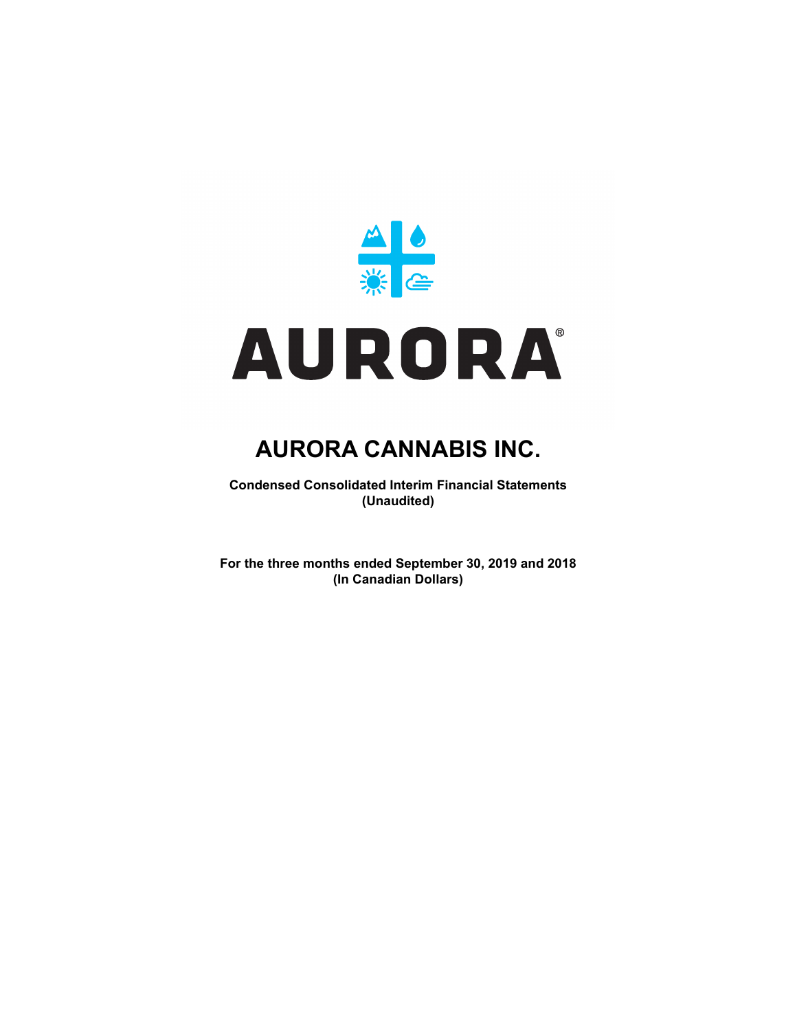

**Condensed Consolidated Interim Financial Statements (Unaudited)**

**For the three months ended September 30, 2019 and 2018 (In Canadian Dollars)**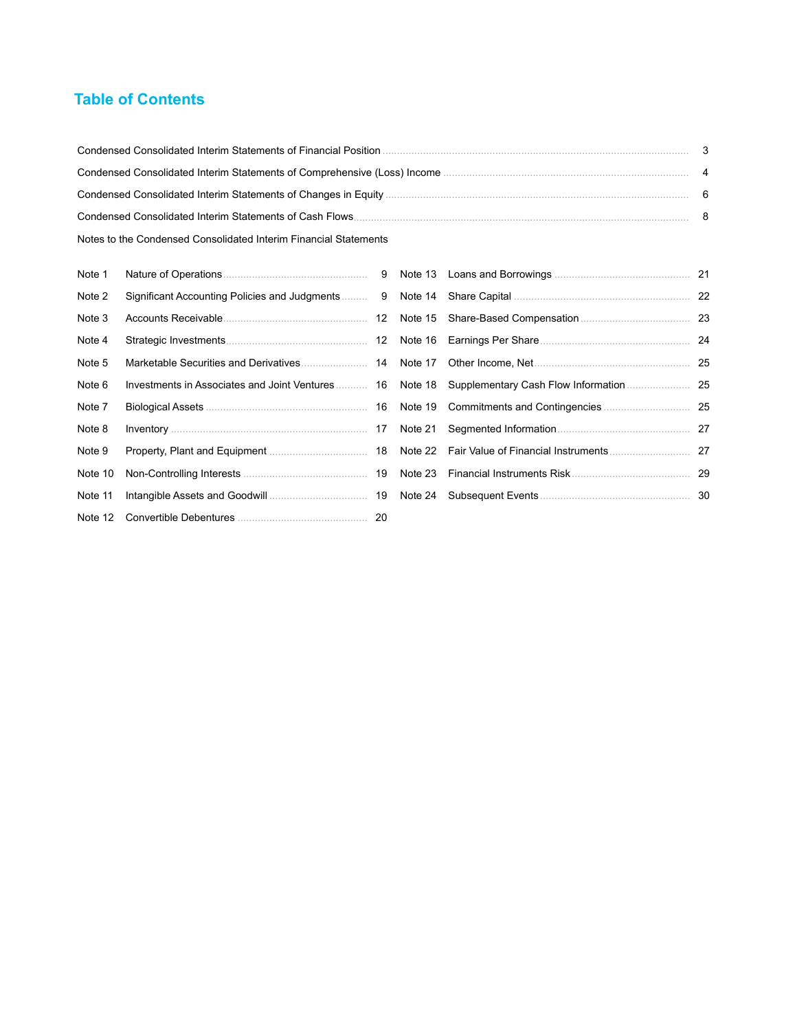## **Table of Contents**

| Notes to the Condensed Consolidated Interim Financial Statements |  |
|------------------------------------------------------------------|--|

| Note 1  |  |                                                                                                |  |
|---------|--|------------------------------------------------------------------------------------------------|--|
| Note 2  |  |                                                                                                |  |
| Note 3  |  |                                                                                                |  |
| Note 4  |  |                                                                                                |  |
| Note 5  |  |                                                                                                |  |
| Note 6  |  | Investments in Associates and Joint Ventures 16 Note 18 Supplementary Cash Flow Information 25 |  |
| Note 7  |  |                                                                                                |  |
| Note 8  |  |                                                                                                |  |
| Note 9  |  |                                                                                                |  |
| Note 10 |  |                                                                                                |  |
| Note 11 |  |                                                                                                |  |
|         |  |                                                                                                |  |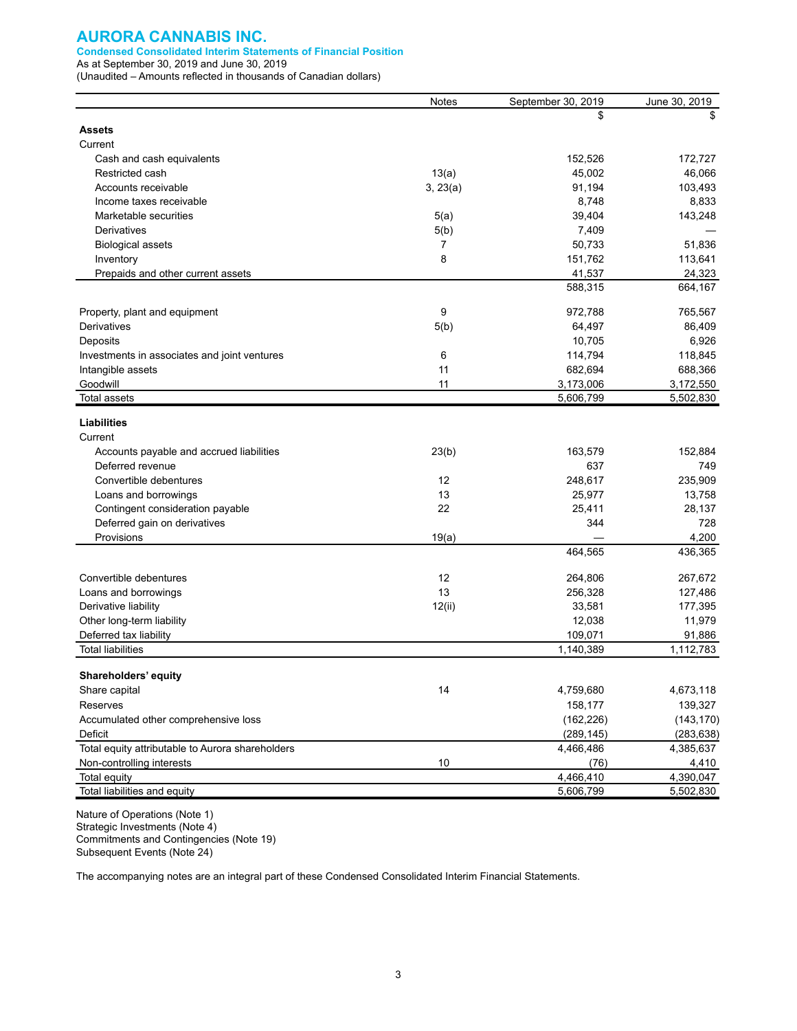#### **Condensed Consolidated Interim Statements of Financial Position**

As at September 30, 2019 and June 30, 2019 (Unaudited – Amounts reflected in thousands of Canadian dollars)

|                                                  | <b>Notes</b> | September 30, 2019 | June 30, 2019 |
|--------------------------------------------------|--------------|--------------------|---------------|
|                                                  |              | \$                 | \$            |
| <b>Assets</b>                                    |              |                    |               |
| Current                                          |              |                    |               |
| Cash and cash equivalents                        |              | 152,526            | 172,727       |
| Restricted cash                                  | 13(a)        | 45,002             | 46,066        |
| Accounts receivable                              | 3, 23(a)     | 91,194             | 103,493       |
| Income taxes receivable                          |              | 8,748              | 8,833         |
| Marketable securities                            | 5(a)         | 39,404             | 143,248       |
| <b>Derivatives</b>                               | 5(b)         | 7,409              |               |
| <b>Biological assets</b>                         | 7            | 50,733             | 51,836        |
| Inventory                                        | 8            | 151,762            | 113,641       |
| Prepaids and other current assets                |              | 41,537             | 24,323        |
|                                                  |              | 588,315            | 664,167       |
|                                                  |              |                    |               |
| Property, plant and equipment                    | 9            | 972,788            | 765,567       |
| Derivatives                                      | 5(b)         | 64,497             | 86,409        |
| Deposits                                         |              | 10,705             | 6,926         |
| Investments in associates and joint ventures     | 6            | 114,794            | 118,845       |
| Intangible assets                                | 11           | 682,694            | 688,366       |
| Goodwill                                         | 11           | 3,173,006          | 3,172,550     |
| Total assets                                     |              | 5,606,799          | 5,502,830     |
| <b>Liabilities</b>                               |              |                    |               |
| Current                                          |              |                    |               |
| Accounts payable and accrued liabilities         | 23(b)        | 163,579            | 152,884       |
| Deferred revenue                                 |              | 637                | 749           |
| Convertible debentures                           | 12           | 248,617            | 235,909       |
| Loans and borrowings                             | 13           | 25,977             | 13,758        |
| Contingent consideration payable                 | 22           | 25,411             | 28,137        |
| Deferred gain on derivatives                     |              | 344                | 728           |
| Provisions                                       | 19(a)        |                    | 4,200         |
|                                                  |              | 464,565            | 436,365       |
|                                                  |              |                    |               |
| Convertible debentures                           | 12           | 264,806            | 267,672       |
| Loans and borrowings                             | 13           | 256,328            | 127,486       |
| Derivative liability                             | 12(ii)       | 33,581             | 177,395       |
| Other long-term liability                        |              | 12,038             | 11,979        |
| Deferred tax liability                           |              | 109,071            | 91,886        |
| <b>Total liabilities</b>                         |              | 1,140,389          | 1,112,783     |
|                                                  |              |                    |               |
| Shareholders' equity                             |              |                    |               |
| Share capital                                    | 14           | 4,759,680          | 4,673,118     |
| Reserves                                         |              | 158,177            | 139,327       |
| Accumulated other comprehensive loss             |              | (162, 226)         | (143, 170)    |
| Deficit                                          |              | (289, 145)         | (283, 638)    |
| Total equity attributable to Aurora shareholders |              | 4,466,486          | 4,385,637     |
| Non-controlling interests                        | 10           | (76)               | 4,410         |
| Total equity                                     |              | 4,466,410          | 4,390,047     |
| Total liabilities and equity                     |              | 5,606,799          | 5,502,830     |

Nature of Operations (Note 1) Strategic Investments (Note 4) Commitments and Contingencies (Note 19) Subsequent Events (Note 24)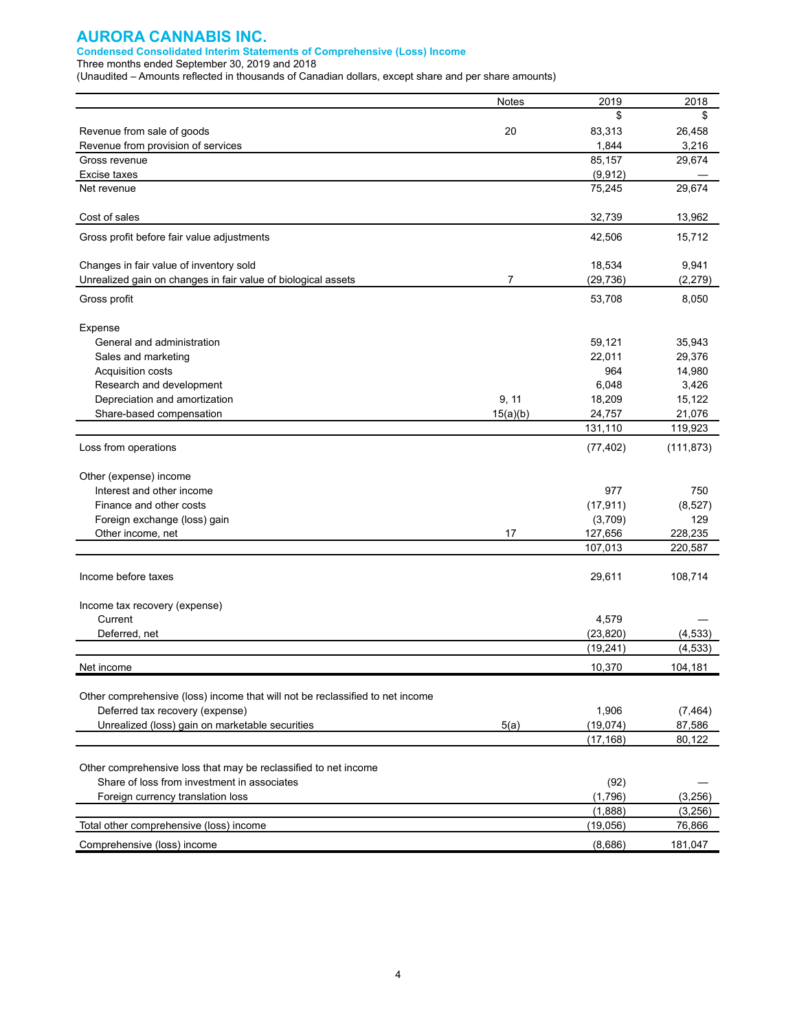#### **Condensed Consolidated Interim Statements of Comprehensive (Loss) Income**

Three months ended September 30, 2019 and 2018

(Unaudited – Amounts reflected in thousands of Canadian dollars, except share and per share amounts)

| 2019<br>2018<br>Notes<br>\$<br>\$<br>20<br>26,458<br>83,313<br>Revenue from sale of goods<br>3,216<br>1,844<br>Revenue from provision of services<br>85,157<br>29,674<br>Gross revenue<br>(9, 912)<br>Excise taxes<br>75,245<br>29,674<br>Net revenue<br>32,739<br>13,962<br>Cost of sales<br>42,506<br>15,712<br>Gross profit before fair value adjustments<br>18,534<br>9,941<br>Changes in fair value of inventory sold<br>$\overline{7}$<br>Unrealized gain on changes in fair value of biological assets<br>(29, 736)<br>(2, 279)<br>53,708<br>8,050<br>Gross profit<br>Expense<br>59,121<br>35,943<br>General and administration<br>Sales and marketing<br>22,011<br>29,376<br>964<br>Acquisition costs<br>14,980<br>6,048<br>3,426<br>Research and development<br>Depreciation and amortization<br>18,209<br>15,122<br>9, 11<br>Share-based compensation<br>15(a)(b)<br>24,757<br>21,076<br>131,110<br>119,923<br>Loss from operations<br>(77, 402)<br>(111, 873)<br>Other (expense) income<br>977<br>Interest and other income<br>750<br>Finance and other costs<br>(17, 911)<br>(8, 527)<br>(3,709)<br>129<br>Foreign exchange (loss) gain<br>17<br>127,656<br>228,235<br>Other income, net<br>107,013<br>220,587<br>Income before taxes<br>29,611<br>108,714<br>Income tax recovery (expense)<br>Current<br>4,579<br>(23, 820)<br>Deferred, net<br>(4,533)<br>(19, 241)<br>(4, 533)<br>10,370<br>104,181<br>Net income<br>Other comprehensive (loss) income that will not be reclassified to net income<br>1,906<br>Deferred tax recovery (expense)<br>(7, 464)<br>Unrealized (loss) gain on marketable securities<br>(19, 074)<br>87,586<br>5(a)<br>(17, 168)<br>80,122<br>Other comprehensive loss that may be reclassified to net income<br>Share of loss from investment in associates<br>(92)<br>(1,796)<br>(3,256)<br>Foreign currency translation loss<br>(1,888)<br>(3,256)<br>(19,056)<br>76,866<br>Total other comprehensive (loss) income |                             |         |         |
|----------------------------------------------------------------------------------------------------------------------------------------------------------------------------------------------------------------------------------------------------------------------------------------------------------------------------------------------------------------------------------------------------------------------------------------------------------------------------------------------------------------------------------------------------------------------------------------------------------------------------------------------------------------------------------------------------------------------------------------------------------------------------------------------------------------------------------------------------------------------------------------------------------------------------------------------------------------------------------------------------------------------------------------------------------------------------------------------------------------------------------------------------------------------------------------------------------------------------------------------------------------------------------------------------------------------------------------------------------------------------------------------------------------------------------------------------------------------------------------------------------------------------------------------------------------------------------------------------------------------------------------------------------------------------------------------------------------------------------------------------------------------------------------------------------------------------------------------------------------------------------------------------------------------------------------------------------------|-----------------------------|---------|---------|
|                                                                                                                                                                                                                                                                                                                                                                                                                                                                                                                                                                                                                                                                                                                                                                                                                                                                                                                                                                                                                                                                                                                                                                                                                                                                                                                                                                                                                                                                                                                                                                                                                                                                                                                                                                                                                                                                                                                                                                |                             |         |         |
|                                                                                                                                                                                                                                                                                                                                                                                                                                                                                                                                                                                                                                                                                                                                                                                                                                                                                                                                                                                                                                                                                                                                                                                                                                                                                                                                                                                                                                                                                                                                                                                                                                                                                                                                                                                                                                                                                                                                                                |                             |         |         |
|                                                                                                                                                                                                                                                                                                                                                                                                                                                                                                                                                                                                                                                                                                                                                                                                                                                                                                                                                                                                                                                                                                                                                                                                                                                                                                                                                                                                                                                                                                                                                                                                                                                                                                                                                                                                                                                                                                                                                                |                             |         |         |
|                                                                                                                                                                                                                                                                                                                                                                                                                                                                                                                                                                                                                                                                                                                                                                                                                                                                                                                                                                                                                                                                                                                                                                                                                                                                                                                                                                                                                                                                                                                                                                                                                                                                                                                                                                                                                                                                                                                                                                |                             |         |         |
|                                                                                                                                                                                                                                                                                                                                                                                                                                                                                                                                                                                                                                                                                                                                                                                                                                                                                                                                                                                                                                                                                                                                                                                                                                                                                                                                                                                                                                                                                                                                                                                                                                                                                                                                                                                                                                                                                                                                                                |                             |         |         |
|                                                                                                                                                                                                                                                                                                                                                                                                                                                                                                                                                                                                                                                                                                                                                                                                                                                                                                                                                                                                                                                                                                                                                                                                                                                                                                                                                                                                                                                                                                                                                                                                                                                                                                                                                                                                                                                                                                                                                                |                             |         |         |
|                                                                                                                                                                                                                                                                                                                                                                                                                                                                                                                                                                                                                                                                                                                                                                                                                                                                                                                                                                                                                                                                                                                                                                                                                                                                                                                                                                                                                                                                                                                                                                                                                                                                                                                                                                                                                                                                                                                                                                |                             |         |         |
|                                                                                                                                                                                                                                                                                                                                                                                                                                                                                                                                                                                                                                                                                                                                                                                                                                                                                                                                                                                                                                                                                                                                                                                                                                                                                                                                                                                                                                                                                                                                                                                                                                                                                                                                                                                                                                                                                                                                                                |                             |         |         |
|                                                                                                                                                                                                                                                                                                                                                                                                                                                                                                                                                                                                                                                                                                                                                                                                                                                                                                                                                                                                                                                                                                                                                                                                                                                                                                                                                                                                                                                                                                                                                                                                                                                                                                                                                                                                                                                                                                                                                                |                             |         |         |
|                                                                                                                                                                                                                                                                                                                                                                                                                                                                                                                                                                                                                                                                                                                                                                                                                                                                                                                                                                                                                                                                                                                                                                                                                                                                                                                                                                                                                                                                                                                                                                                                                                                                                                                                                                                                                                                                                                                                                                |                             |         |         |
|                                                                                                                                                                                                                                                                                                                                                                                                                                                                                                                                                                                                                                                                                                                                                                                                                                                                                                                                                                                                                                                                                                                                                                                                                                                                                                                                                                                                                                                                                                                                                                                                                                                                                                                                                                                                                                                                                                                                                                |                             |         |         |
|                                                                                                                                                                                                                                                                                                                                                                                                                                                                                                                                                                                                                                                                                                                                                                                                                                                                                                                                                                                                                                                                                                                                                                                                                                                                                                                                                                                                                                                                                                                                                                                                                                                                                                                                                                                                                                                                                                                                                                |                             |         |         |
|                                                                                                                                                                                                                                                                                                                                                                                                                                                                                                                                                                                                                                                                                                                                                                                                                                                                                                                                                                                                                                                                                                                                                                                                                                                                                                                                                                                                                                                                                                                                                                                                                                                                                                                                                                                                                                                                                                                                                                |                             |         |         |
|                                                                                                                                                                                                                                                                                                                                                                                                                                                                                                                                                                                                                                                                                                                                                                                                                                                                                                                                                                                                                                                                                                                                                                                                                                                                                                                                                                                                                                                                                                                                                                                                                                                                                                                                                                                                                                                                                                                                                                |                             |         |         |
|                                                                                                                                                                                                                                                                                                                                                                                                                                                                                                                                                                                                                                                                                                                                                                                                                                                                                                                                                                                                                                                                                                                                                                                                                                                                                                                                                                                                                                                                                                                                                                                                                                                                                                                                                                                                                                                                                                                                                                |                             |         |         |
|                                                                                                                                                                                                                                                                                                                                                                                                                                                                                                                                                                                                                                                                                                                                                                                                                                                                                                                                                                                                                                                                                                                                                                                                                                                                                                                                                                                                                                                                                                                                                                                                                                                                                                                                                                                                                                                                                                                                                                |                             |         |         |
|                                                                                                                                                                                                                                                                                                                                                                                                                                                                                                                                                                                                                                                                                                                                                                                                                                                                                                                                                                                                                                                                                                                                                                                                                                                                                                                                                                                                                                                                                                                                                                                                                                                                                                                                                                                                                                                                                                                                                                |                             |         |         |
|                                                                                                                                                                                                                                                                                                                                                                                                                                                                                                                                                                                                                                                                                                                                                                                                                                                                                                                                                                                                                                                                                                                                                                                                                                                                                                                                                                                                                                                                                                                                                                                                                                                                                                                                                                                                                                                                                                                                                                |                             |         |         |
|                                                                                                                                                                                                                                                                                                                                                                                                                                                                                                                                                                                                                                                                                                                                                                                                                                                                                                                                                                                                                                                                                                                                                                                                                                                                                                                                                                                                                                                                                                                                                                                                                                                                                                                                                                                                                                                                                                                                                                |                             |         |         |
|                                                                                                                                                                                                                                                                                                                                                                                                                                                                                                                                                                                                                                                                                                                                                                                                                                                                                                                                                                                                                                                                                                                                                                                                                                                                                                                                                                                                                                                                                                                                                                                                                                                                                                                                                                                                                                                                                                                                                                |                             |         |         |
|                                                                                                                                                                                                                                                                                                                                                                                                                                                                                                                                                                                                                                                                                                                                                                                                                                                                                                                                                                                                                                                                                                                                                                                                                                                                                                                                                                                                                                                                                                                                                                                                                                                                                                                                                                                                                                                                                                                                                                |                             |         |         |
|                                                                                                                                                                                                                                                                                                                                                                                                                                                                                                                                                                                                                                                                                                                                                                                                                                                                                                                                                                                                                                                                                                                                                                                                                                                                                                                                                                                                                                                                                                                                                                                                                                                                                                                                                                                                                                                                                                                                                                |                             |         |         |
|                                                                                                                                                                                                                                                                                                                                                                                                                                                                                                                                                                                                                                                                                                                                                                                                                                                                                                                                                                                                                                                                                                                                                                                                                                                                                                                                                                                                                                                                                                                                                                                                                                                                                                                                                                                                                                                                                                                                                                |                             |         |         |
|                                                                                                                                                                                                                                                                                                                                                                                                                                                                                                                                                                                                                                                                                                                                                                                                                                                                                                                                                                                                                                                                                                                                                                                                                                                                                                                                                                                                                                                                                                                                                                                                                                                                                                                                                                                                                                                                                                                                                                |                             |         |         |
|                                                                                                                                                                                                                                                                                                                                                                                                                                                                                                                                                                                                                                                                                                                                                                                                                                                                                                                                                                                                                                                                                                                                                                                                                                                                                                                                                                                                                                                                                                                                                                                                                                                                                                                                                                                                                                                                                                                                                                |                             |         |         |
|                                                                                                                                                                                                                                                                                                                                                                                                                                                                                                                                                                                                                                                                                                                                                                                                                                                                                                                                                                                                                                                                                                                                                                                                                                                                                                                                                                                                                                                                                                                                                                                                                                                                                                                                                                                                                                                                                                                                                                |                             |         |         |
|                                                                                                                                                                                                                                                                                                                                                                                                                                                                                                                                                                                                                                                                                                                                                                                                                                                                                                                                                                                                                                                                                                                                                                                                                                                                                                                                                                                                                                                                                                                                                                                                                                                                                                                                                                                                                                                                                                                                                                |                             |         |         |
|                                                                                                                                                                                                                                                                                                                                                                                                                                                                                                                                                                                                                                                                                                                                                                                                                                                                                                                                                                                                                                                                                                                                                                                                                                                                                                                                                                                                                                                                                                                                                                                                                                                                                                                                                                                                                                                                                                                                                                |                             |         |         |
|                                                                                                                                                                                                                                                                                                                                                                                                                                                                                                                                                                                                                                                                                                                                                                                                                                                                                                                                                                                                                                                                                                                                                                                                                                                                                                                                                                                                                                                                                                                                                                                                                                                                                                                                                                                                                                                                                                                                                                |                             |         |         |
|                                                                                                                                                                                                                                                                                                                                                                                                                                                                                                                                                                                                                                                                                                                                                                                                                                                                                                                                                                                                                                                                                                                                                                                                                                                                                                                                                                                                                                                                                                                                                                                                                                                                                                                                                                                                                                                                                                                                                                |                             |         |         |
|                                                                                                                                                                                                                                                                                                                                                                                                                                                                                                                                                                                                                                                                                                                                                                                                                                                                                                                                                                                                                                                                                                                                                                                                                                                                                                                                                                                                                                                                                                                                                                                                                                                                                                                                                                                                                                                                                                                                                                |                             |         |         |
|                                                                                                                                                                                                                                                                                                                                                                                                                                                                                                                                                                                                                                                                                                                                                                                                                                                                                                                                                                                                                                                                                                                                                                                                                                                                                                                                                                                                                                                                                                                                                                                                                                                                                                                                                                                                                                                                                                                                                                |                             |         |         |
|                                                                                                                                                                                                                                                                                                                                                                                                                                                                                                                                                                                                                                                                                                                                                                                                                                                                                                                                                                                                                                                                                                                                                                                                                                                                                                                                                                                                                                                                                                                                                                                                                                                                                                                                                                                                                                                                                                                                                                |                             |         |         |
|                                                                                                                                                                                                                                                                                                                                                                                                                                                                                                                                                                                                                                                                                                                                                                                                                                                                                                                                                                                                                                                                                                                                                                                                                                                                                                                                                                                                                                                                                                                                                                                                                                                                                                                                                                                                                                                                                                                                                                |                             |         |         |
|                                                                                                                                                                                                                                                                                                                                                                                                                                                                                                                                                                                                                                                                                                                                                                                                                                                                                                                                                                                                                                                                                                                                                                                                                                                                                                                                                                                                                                                                                                                                                                                                                                                                                                                                                                                                                                                                                                                                                                |                             |         |         |
|                                                                                                                                                                                                                                                                                                                                                                                                                                                                                                                                                                                                                                                                                                                                                                                                                                                                                                                                                                                                                                                                                                                                                                                                                                                                                                                                                                                                                                                                                                                                                                                                                                                                                                                                                                                                                                                                                                                                                                |                             |         |         |
|                                                                                                                                                                                                                                                                                                                                                                                                                                                                                                                                                                                                                                                                                                                                                                                                                                                                                                                                                                                                                                                                                                                                                                                                                                                                                                                                                                                                                                                                                                                                                                                                                                                                                                                                                                                                                                                                                                                                                                |                             |         |         |
|                                                                                                                                                                                                                                                                                                                                                                                                                                                                                                                                                                                                                                                                                                                                                                                                                                                                                                                                                                                                                                                                                                                                                                                                                                                                                                                                                                                                                                                                                                                                                                                                                                                                                                                                                                                                                                                                                                                                                                |                             |         |         |
|                                                                                                                                                                                                                                                                                                                                                                                                                                                                                                                                                                                                                                                                                                                                                                                                                                                                                                                                                                                                                                                                                                                                                                                                                                                                                                                                                                                                                                                                                                                                                                                                                                                                                                                                                                                                                                                                                                                                                                |                             |         |         |
|                                                                                                                                                                                                                                                                                                                                                                                                                                                                                                                                                                                                                                                                                                                                                                                                                                                                                                                                                                                                                                                                                                                                                                                                                                                                                                                                                                                                                                                                                                                                                                                                                                                                                                                                                                                                                                                                                                                                                                |                             |         |         |
|                                                                                                                                                                                                                                                                                                                                                                                                                                                                                                                                                                                                                                                                                                                                                                                                                                                                                                                                                                                                                                                                                                                                                                                                                                                                                                                                                                                                                                                                                                                                                                                                                                                                                                                                                                                                                                                                                                                                                                |                             |         |         |
|                                                                                                                                                                                                                                                                                                                                                                                                                                                                                                                                                                                                                                                                                                                                                                                                                                                                                                                                                                                                                                                                                                                                                                                                                                                                                                                                                                                                                                                                                                                                                                                                                                                                                                                                                                                                                                                                                                                                                                |                             |         |         |
|                                                                                                                                                                                                                                                                                                                                                                                                                                                                                                                                                                                                                                                                                                                                                                                                                                                                                                                                                                                                                                                                                                                                                                                                                                                                                                                                                                                                                                                                                                                                                                                                                                                                                                                                                                                                                                                                                                                                                                |                             |         |         |
|                                                                                                                                                                                                                                                                                                                                                                                                                                                                                                                                                                                                                                                                                                                                                                                                                                                                                                                                                                                                                                                                                                                                                                                                                                                                                                                                                                                                                                                                                                                                                                                                                                                                                                                                                                                                                                                                                                                                                                |                             |         |         |
|                                                                                                                                                                                                                                                                                                                                                                                                                                                                                                                                                                                                                                                                                                                                                                                                                                                                                                                                                                                                                                                                                                                                                                                                                                                                                                                                                                                                                                                                                                                                                                                                                                                                                                                                                                                                                                                                                                                                                                |                             |         |         |
|                                                                                                                                                                                                                                                                                                                                                                                                                                                                                                                                                                                                                                                                                                                                                                                                                                                                                                                                                                                                                                                                                                                                                                                                                                                                                                                                                                                                                                                                                                                                                                                                                                                                                                                                                                                                                                                                                                                                                                |                             |         |         |
|                                                                                                                                                                                                                                                                                                                                                                                                                                                                                                                                                                                                                                                                                                                                                                                                                                                                                                                                                                                                                                                                                                                                                                                                                                                                                                                                                                                                                                                                                                                                                                                                                                                                                                                                                                                                                                                                                                                                                                |                             |         |         |
|                                                                                                                                                                                                                                                                                                                                                                                                                                                                                                                                                                                                                                                                                                                                                                                                                                                                                                                                                                                                                                                                                                                                                                                                                                                                                                                                                                                                                                                                                                                                                                                                                                                                                                                                                                                                                                                                                                                                                                | Comprehensive (loss) income | (8,686) | 181,047 |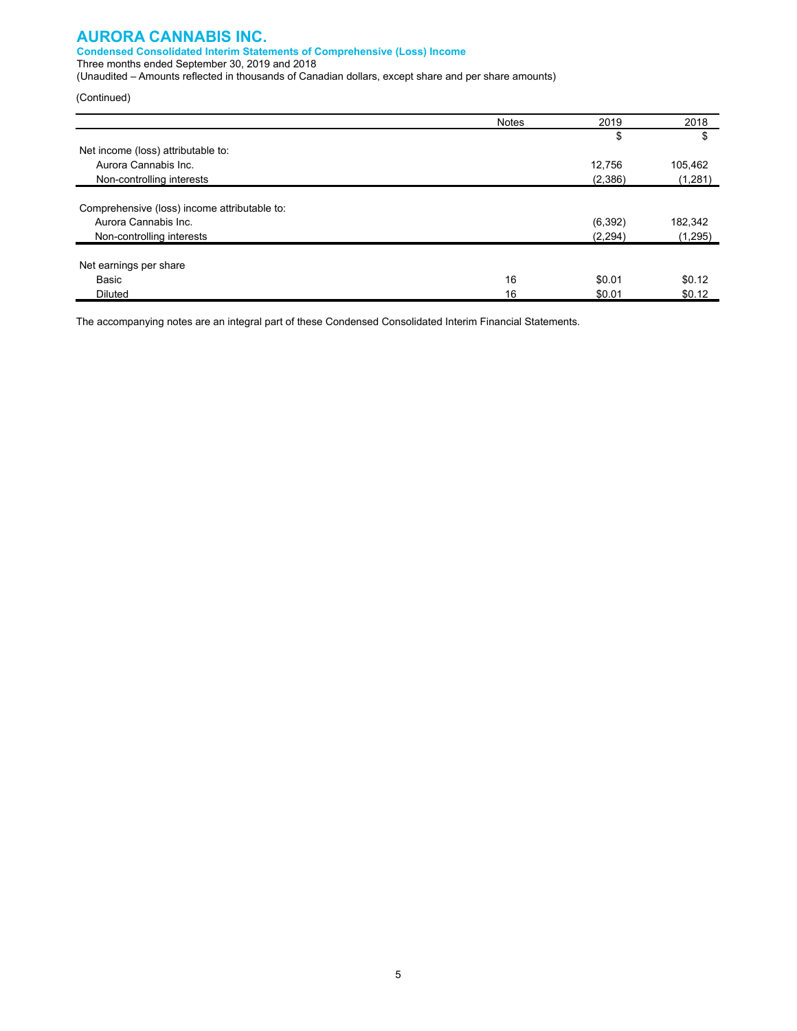#### **Condensed Consolidated Interim Statements of Comprehensive (Loss) Income**

Three months ended September 30, 2019 and 2018

(Unaudited – Amounts reflected in thousands of Canadian dollars, except share and per share amounts)

(Continued)

|                                              | <b>Notes</b> | 2019     | 2018    |
|----------------------------------------------|--------------|----------|---------|
|                                              |              | \$       | \$      |
| Net income (loss) attributable to:           |              |          |         |
| Aurora Cannabis Inc.                         |              | 12,756   | 105,462 |
| Non-controlling interests                    |              | (2,386)  | (1,281) |
|                                              |              |          |         |
| Comprehensive (loss) income attributable to: |              |          |         |
| Aurora Cannabis Inc.                         |              | (6, 392) | 182,342 |
| Non-controlling interests                    |              | (2, 294) | (1,295) |
|                                              |              |          |         |
| Net earnings per share                       |              |          |         |
| Basic                                        | 16           | \$0.01   | \$0.12  |
| <b>Diluted</b>                               | 16           | \$0.01   | \$0.12  |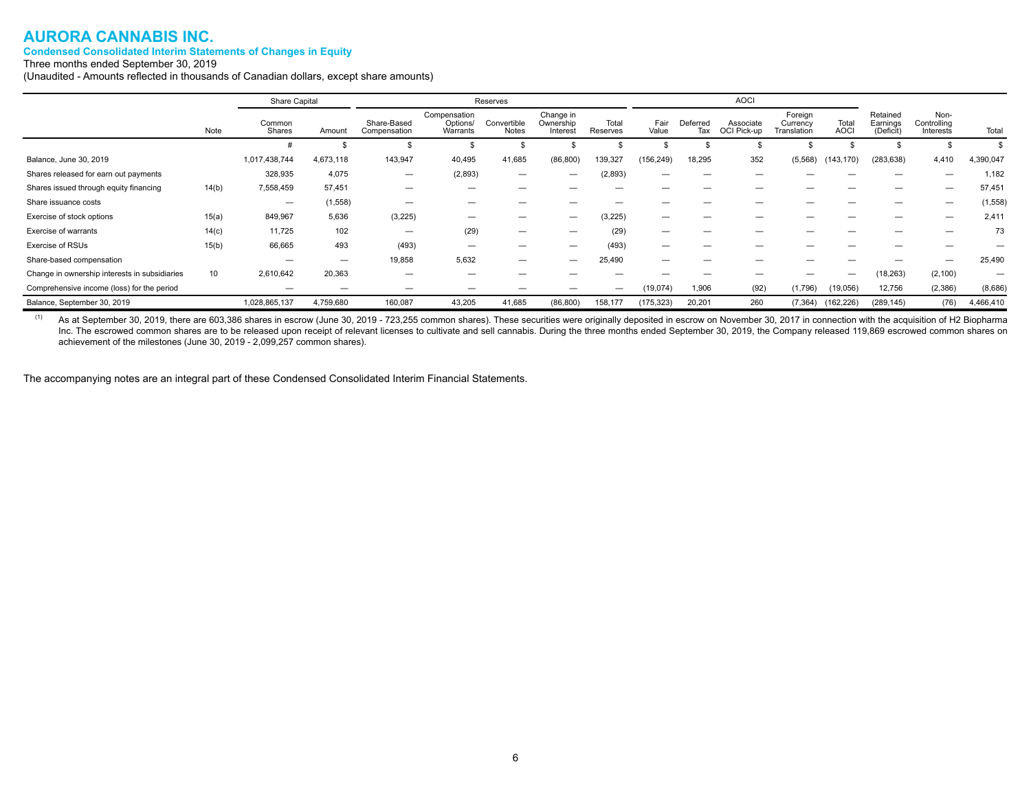#### **Condensed Consolidated Interim Statements of Changes in Equity**

Three months ended September 30, 2019

(Unaudited - Amounts reflected in thousands of Canadian dollars, except share amounts)

|                                               | Share Capital |                          |           | Reserves                    |                                      |                          |                                    | <b>AOCI</b>       |               |                 |                          |                                    |                      |                                   |                                  |           |
|-----------------------------------------------|---------------|--------------------------|-----------|-----------------------------|--------------------------------------|--------------------------|------------------------------------|-------------------|---------------|-----------------|--------------------------|------------------------------------|----------------------|-----------------------------------|----------------------------------|-----------|
|                                               | Note          | Common<br>Shares         | Amount    | Share-Based<br>Compensation | Compensation<br>Options/<br>Warrants | Convertible<br>Notes     | Change in<br>Ownership<br>Interest | Total<br>Reserves | Fair<br>Value | Deferred<br>Tax | Associate<br>OCI Pick-up | Foreign<br>Currency<br>Translation | Total<br><b>AOCI</b> | Retained<br>Earnings<br>(Deficit) | Non-<br>Controlling<br>Interests | Total     |
|                                               |               |                          |           |                             |                                      |                          |                                    |                   |               |                 |                          |                                    |                      |                                   |                                  |           |
| Balance, June 30, 2019                        |               | 1,017,438,744            | 4,673,118 | 143,947                     | 40,495                               | 41,685                   | (86, 800)                          | 139,327           | (156, 249)    | 18,295          | 352                      | (5, 568)                           | (143, 170)           | (283, 638)                        | 4,410                            | 4,390,047 |
| Shares released for earn out payments         |               | 328,935                  | 4,075     | $\overline{\phantom{0}}$    | (2,893)                              |                          | –                                  | (2,893)           |               |                 |                          |                                    |                      |                                   |                                  | 1,182     |
| Shares issued through equity financing        | 14(b)         | 7,558,459                | 57,451    | -                           |                                      |                          |                                    |                   |               |                 |                          |                                    |                      | _                                 | $\overline{\phantom{m}}$         | 57,451    |
| Share issuance costs                          |               | $\overline{\phantom{0}}$ | (1,558)   |                             |                                      |                          |                                    |                   |               |                 |                          |                                    |                      |                                   |                                  | (1, 558)  |
| Exercise of stock options                     | 15(a)         | 849,967                  | 5,636     | (3,225)                     | --                                   | —                        | --                                 | (3, 225)          | -             | _               |                          |                                    |                      | -                                 | $\overline{\phantom{0}}$         | 2,411     |
| Exercise of warrants                          | 14(c)         | 11,725                   | 102       | —                           | (29)                                 | $\overline{\phantom{0}}$ |                                    | (29)              |               |                 |                          |                                    |                      | -                                 | -                                | 73        |
| Exercise of RSUs                              | 15(b)         | 66,665                   | 493       | (493)                       |                                      | –                        | –                                  | (493)             | -             | _               |                          |                                    |                      | -                                 | -                                |           |
| Share-based compensation                      |               | $\overline{\phantom{m}}$ | —         | 19,858                      | 5,632                                | $\overline{\phantom{0}}$ | -                                  | 25,490            | -             |                 |                          |                                    |                      |                                   | $\overline{\phantom{0}}$         | 25,490    |
| Change in ownership interests in subsidiaries | 10            | 2,610,642                | 20,363    |                             |                                      |                          |                                    |                   |               |                 |                          |                                    | –                    | (18, 263)                         | (2, 100)                         | -         |
| Comprehensive income (loss) for the period    |               | –                        | –         |                             |                                      |                          |                                    |                   | (19,074)      | 1,906           | (92)                     | (1,796)                            | (19,056)             | 12,756                            | (2,386)                          | (8,686)   |
| Balance, September 30, 2019                   |               | 1,028,865,137            | 4,759,680 | 160,087                     | 43,205                               | 41,685                   | (86, 800)                          | 158,177           | (175, 323)    | 20,201          | 260                      | (7, 364)                           | (162, 226)           | (289, 145)                        | (76)                             | 4,466,410 |

<sup>(1)</sup> As at September 30, 2019, there are 603,386 shares in escrow (June 30, 2019 - 723,255 common shares). These securities were originally deposited in escrow on November 30, 2017 in connection with the acquisition of H2 Inc. The escrowed common shares are to be released upon receipt of relevant licenses to cultivate and sell cannabis. During the three months ended September 30, 2019, the Company released 119,869 escrowed common shares on achievement of the milestones (June 30, 2019 - 2,099,257 common shares).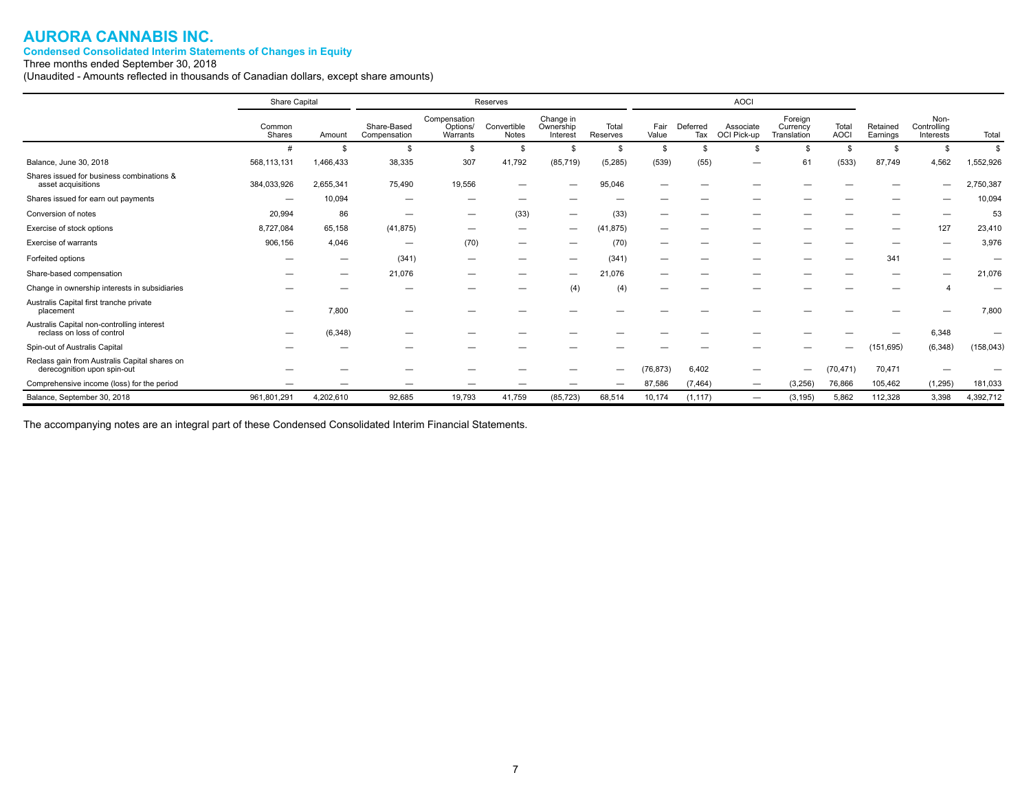#### **Condensed Consolidated Interim Statements of Changes in Equity**

Three months ended September 30, 2018

(Unaudited - Amounts reflected in thousands of Canadian dollars, except share amounts)

|                                                                              | Share Capital    |                          | Reserves                    |                                      |                      | <b>AOCI</b>                        |                   |               |                 |                          |                                    |                      |                      |                                  |            |
|------------------------------------------------------------------------------|------------------|--------------------------|-----------------------------|--------------------------------------|----------------------|------------------------------------|-------------------|---------------|-----------------|--------------------------|------------------------------------|----------------------|----------------------|----------------------------------|------------|
|                                                                              | Common<br>Shares | Amount                   | Share-Based<br>Compensation | Compensation<br>Options/<br>Warrants | Convertible<br>Notes | Change in<br>Ownership<br>Interest | Total<br>Reserves | Fair<br>Value | Deferred<br>Tax | Associate<br>OCI Pick-up | Foreign<br>Currency<br>Translation | Total<br><b>AOCI</b> | Retained<br>Earnings | Non-<br>Controlling<br>Interests | Total      |
|                                                                              | #                | S                        |                             | $\mathbf{s}$                         | \$                   |                                    |                   |               |                 |                          |                                    |                      | \$                   | \$                               | \$         |
| Balance, June 30, 2018                                                       | 568,113,131      | 1,466,433                | 38,335                      | 307                                  | 41,792               | (85, 719)                          | (5,285)           | (539)         | (55)            |                          | 61                                 | (533)                | 87,749               | 4,562                            | 1,552,926  |
| Shares issued for business combinations &<br>asset acquisitions              | 384,033,926      | 2,655,341                | 75,490                      | 19,556                               |                      |                                    | 95,046            |               |                 |                          |                                    |                      |                      | –                                | 2,750,387  |
| Shares issued for earn out payments                                          | -                | 10,094                   |                             | $\overline{\phantom{m}}$             | -                    |                                    |                   |               |                 |                          |                                    |                      |                      |                                  | 10,094     |
| Conversion of notes                                                          | 20,994           | 86                       |                             | $\qquad \qquad \longleftarrow$       | (33)                 | $\overline{\phantom{0}}$           | (33)              |               |                 |                          |                                    |                      |                      | -                                | 53         |
| Exercise of stock options                                                    | 8,727,084        | 65,158                   | (41, 875)                   |                                      |                      |                                    | (41, 875)         |               |                 |                          |                                    |                      | _                    | 127                              | 23,410     |
| Exercise of warrants                                                         | 906,156          | 4,046                    | --                          | (70)                                 | —                    |                                    | (70)              |               |                 |                          |                                    |                      |                      |                                  | 3,976      |
| Forfeited options                                                            |                  | –                        | (341)                       |                                      |                      |                                    | (341)             |               |                 |                          |                                    |                      | 341                  |                                  |            |
| Share-based compensation                                                     |                  | $\overline{\phantom{0}}$ | 21,076                      | $\overline{\phantom{m}}$             |                      |                                    | 21,076            |               |                 |                          |                                    |                      |                      |                                  | 21,076     |
| Change in ownership interests in subsidiaries                                |                  |                          |                             |                                      |                      | (4)                                | (4)               |               |                 |                          |                                    |                      |                      | 4                                |            |
| Australis Capital first tranche private<br>placement                         |                  | 7,800                    |                             |                                      |                      |                                    |                   |               |                 |                          |                                    |                      |                      |                                  | 7,800      |
| Australis Capital non-controlling interest<br>reclass on loss of control     |                  | (6, 348)                 |                             |                                      |                      |                                    |                   |               |                 |                          |                                    |                      |                      | 6,348                            |            |
| Spin-out of Australis Capital                                                |                  |                          |                             |                                      |                      |                                    |                   |               |                 |                          |                                    |                      | (151, 695)           | (6, 348)                         | (158, 043) |
| Reclass gain from Australis Capital shares on<br>derecognition upon spin-out |                  |                          |                             |                                      |                      |                                    |                   | (76, 873)     | 6,402           | –                        | –                                  | (70, 471)            | 70,471               |                                  |            |
| Comprehensive income (loss) for the period                                   |                  |                          |                             | _                                    |                      |                                    | -                 | 87,586        | (7, 464)        |                          | (3,256)                            | 76,866               | 105,462              | (1, 295)                         | 181,033    |
| Balance, September 30, 2018                                                  | 961,801,291      | 4,202,610                | 92,685                      | 19,793                               | 41,759               | (85, 723)                          | 68,514            | 10,174        | (1, 117)        | $\overline{\phantom{0}}$ | (3, 195)                           | 5,862                | 112,328              | 3,398                            | 4,392,712  |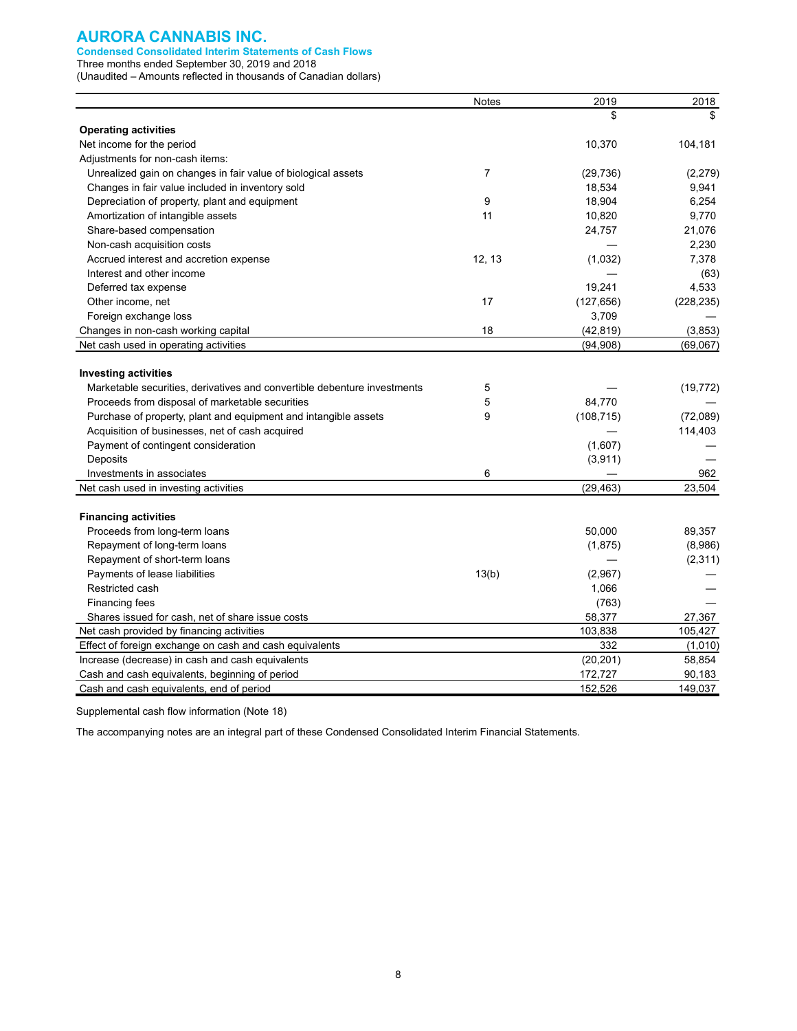#### **Condensed Consolidated Interim Statements of Cash Flows**

Three months ended September 30, 2019 and 2018

(Unaudited – Amounts reflected in thousands of Canadian dollars)

|                                                                          | <b>Notes</b>   | 2019       | 2018       |
|--------------------------------------------------------------------------|----------------|------------|------------|
|                                                                          |                | \$         | \$.        |
| <b>Operating activities</b>                                              |                |            |            |
| Net income for the period                                                |                | 10,370     | 104,181    |
| Adjustments for non-cash items:                                          |                |            |            |
| Unrealized gain on changes in fair value of biological assets            | $\overline{7}$ | (29, 736)  | (2,279)    |
| Changes in fair value included in inventory sold                         |                | 18,534     | 9,941      |
| Depreciation of property, plant and equipment                            | 9              | 18,904     | 6,254      |
| Amortization of intangible assets                                        | 11             | 10,820     | 9,770      |
| Share-based compensation                                                 |                | 24,757     | 21,076     |
| Non-cash acquisition costs                                               |                |            | 2,230      |
| Accrued interest and accretion expense                                   | 12, 13         | (1,032)    | 7,378      |
| Interest and other income                                                |                |            | (63)       |
| Deferred tax expense                                                     |                | 19,241     | 4,533      |
| Other income, net                                                        | 17             | (127, 656) | (228, 235) |
| Foreign exchange loss                                                    |                | 3,709      |            |
| Changes in non-cash working capital                                      | 18             | (42, 819)  | (3,853)    |
| Net cash used in operating activities                                    |                | (94, 908)  | (69,067)   |
|                                                                          |                |            |            |
| <b>Investing activities</b>                                              |                |            |            |
| Marketable securities, derivatives and convertible debenture investments | 5              |            | (19, 772)  |
| Proceeds from disposal of marketable securities                          | 5              | 84,770     |            |
| Purchase of property, plant and equipment and intangible assets          | 9              | (108, 715) | (72,089)   |
| Acquisition of businesses, net of cash acquired                          |                |            | 114,403    |
| Payment of contingent consideration                                      |                | (1,607)    |            |
| Deposits                                                                 |                | (3,911)    |            |
| Investments in associates                                                | 6              |            | 962        |
| Net cash used in investing activities                                    |                | (29, 463)  | 23.504     |
|                                                                          |                |            |            |
| <b>Financing activities</b>                                              |                |            |            |
| Proceeds from long-term loans                                            |                | 50,000     | 89,357     |
| Repayment of long-term loans                                             |                | (1,875)    | (8,986)    |
| Repayment of short-term loans                                            |                |            | (2, 311)   |
| Payments of lease liabilities                                            | 13(b)          | (2,967)    |            |
| Restricted cash                                                          |                | 1,066      |            |
| Financing fees                                                           |                | (763)      |            |
| Shares issued for cash, net of share issue costs                         |                | 58,377     | 27,367     |
| Net cash provided by financing activities                                |                | 103,838    | 105,427    |
| Effect of foreign exchange on cash and cash equivalents                  |                | 332        | (1,010)    |
| Increase (decrease) in cash and cash equivalents                         |                | (20, 201)  | 58,854     |
| Cash and cash equivalents, beginning of period                           |                | 172,727    | 90,183     |
| Cash and cash equivalents, end of period                                 |                | 152,526    | 149,037    |

Supplemental cash flow information (Note 18)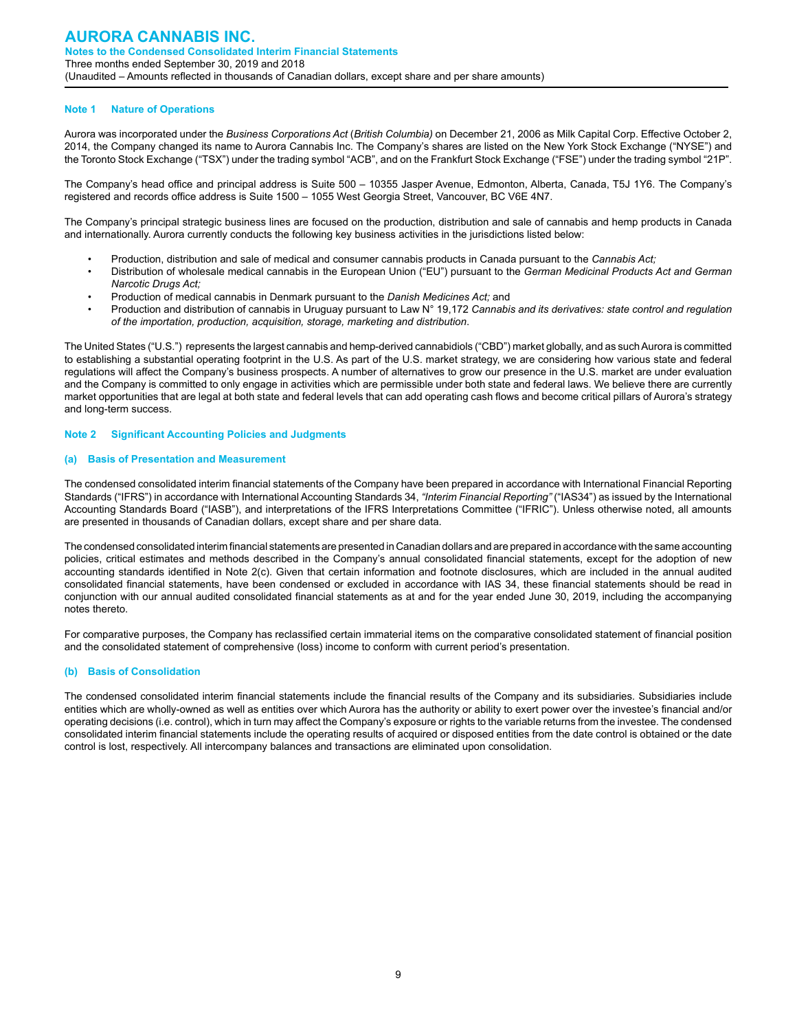#### **Note 1 Nature of Operations**

Aurora was incorporated under the *Business Corporations Act* (*British Columbia)* on December 21, 2006 as Milk Capital Corp. Effective October 2, 2014, the Company changed its name to Aurora Cannabis Inc. The Company's shares are listed on the New York Stock Exchange ("NYSE") and the Toronto Stock Exchange ("TSX") under the trading symbol "ACB", and on the Frankfurt Stock Exchange ("FSE") under the trading symbol "21P".

The Company's head office and principal address is Suite 500 – 10355 Jasper Avenue, Edmonton, Alberta, Canada, T5J 1Y6. The Company's registered and records office address is Suite 1500 – 1055 West Georgia Street, Vancouver, BC V6E 4N7.

The Company's principal strategic business lines are focused on the production, distribution and sale of cannabis and hemp products in Canada and internationally. Aurora currently conducts the following key business activities in the jurisdictions listed below:

- Production, distribution and sale of medical and consumer cannabis products in Canada pursuant to the *Cannabis Act;*
- Distribution of wholesale medical cannabis in the European Union ("EU") pursuant to the *German Medicinal Products Act and German Narcotic Drugs Act;*
- Production of medical cannabis in Denmark pursuant to the *Danish Medicines Act;* and
- Production and distribution of cannabis in Uruguay pursuant to Law N° 19,172 *Cannabis and its derivatives: state control and regulation of the importation, production, acquisition, storage, marketing and distribution*.

The United States ("U.S.") represents the largest cannabis and hemp-derived cannabidiols ("CBD") market globally, and as such Aurora is committed to establishing a substantial operating footprint in the U.S. As part of the U.S. market strategy, we are considering how various state and federal regulations will affect the Company's business prospects. A number of alternatives to grow our presence in the U.S. market are under evaluation and the Company is committed to only engage in activities which are permissible under both state and federal laws. We believe there are currently market opportunities that are legal at both state and federal levels that can add operating cash flows and become critical pillars of Aurora's strategy and long-term success.

#### **Note 2 Significant Accounting Policies and Judgments**

#### **(a) Basis of Presentation and Measurement**

The condensed consolidated interim financial statements of the Company have been prepared in accordance with International Financial Reporting Standards ("IFRS") in accordance with International Accounting Standards 34, *"Interim Financial Reporting"* ("IAS34") as issued by the International Accounting Standards Board ("IASB"), and interpretations of the IFRS Interpretations Committee ("IFRIC"). Unless otherwise noted, all amounts are presented in thousands of Canadian dollars, except share and per share data.

The condensed consolidated interim financial statements are presented in Canadian dollars and are prepared in accordance with the same accounting policies, critical estimates and methods described in the Company's annual consolidated financial statements, except for the adoption of new accounting standards identified in Note 2(c). Given that certain information and footnote disclosures, which are included in the annual audited consolidated financial statements, have been condensed or excluded in accordance with IAS 34, these financial statements should be read in conjunction with our annual audited consolidated financial statements as at and for the year ended June 30, 2019, including the accompanying notes thereto.

For comparative purposes, the Company has reclassified certain immaterial items on the comparative consolidated statement of financial position and the consolidated statement of comprehensive (loss) income to conform with current period's presentation.

#### **(b) Basis of Consolidation**

The condensed consolidated interim financial statements include the financial results of the Company and its subsidiaries. Subsidiaries include entities which are wholly-owned as well as entities over which Aurora has the authority or ability to exert power over the investee's financial and/or operating decisions (i.e. control), which in turn may affect the Company's exposure or rights to the variable returns from the investee. The condensed consolidated interim financial statements include the operating results of acquired or disposed entities from the date control is obtained or the date control is lost, respectively. All intercompany balances and transactions are eliminated upon consolidation.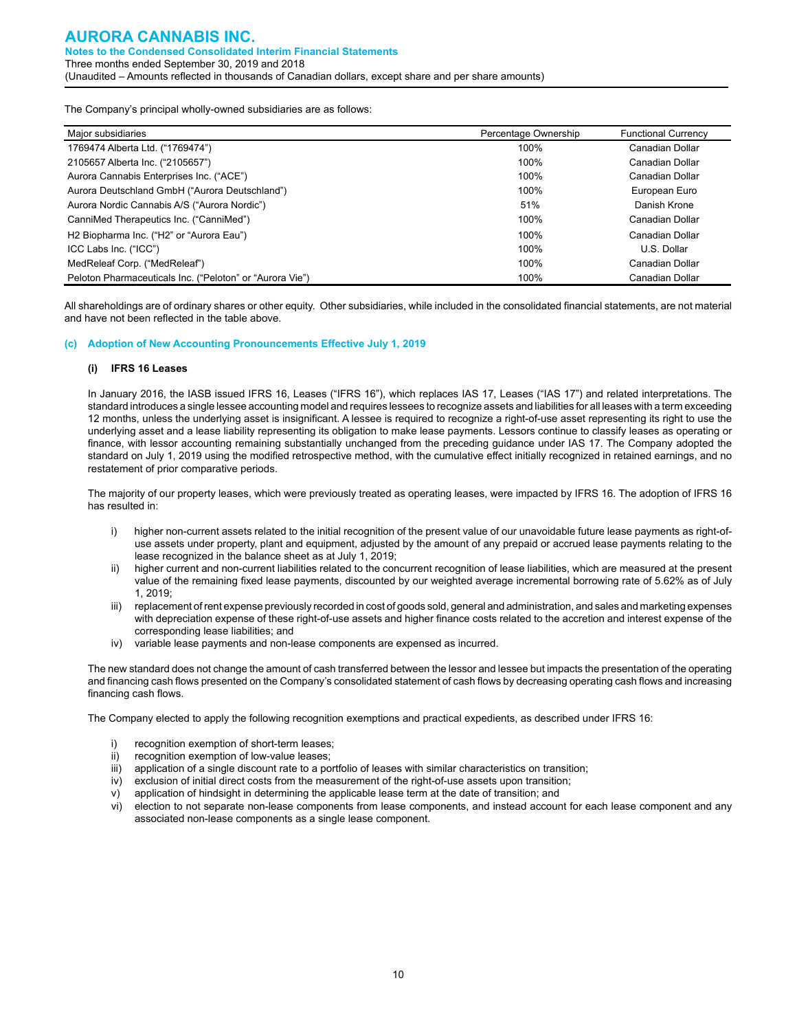The Company's principal wholly-owned subsidiaries are as follows:

| Major subsidiaries                                       | Percentage Ownership | <b>Functional Currency</b> |
|----------------------------------------------------------|----------------------|----------------------------|
| 1769474 Alberta Ltd. ("1769474")                         | 100%                 | Canadian Dollar            |
| 2105657 Alberta Inc. ("2105657")                         | 100%                 | Canadian Dollar            |
| Aurora Cannabis Enterprises Inc. ("ACE")                 | 100%                 | Canadian Dollar            |
| Aurora Deutschland GmbH ("Aurora Deutschland")           | 100%                 | European Euro              |
| Aurora Nordic Cannabis A/S ("Aurora Nordic")             | 51%                  | Danish Krone               |
| CanniMed Therapeutics Inc. ("CanniMed")                  | 100%                 | Canadian Dollar            |
| H2 Biopharma Inc. ("H2" or "Aurora Eau")                 | 100%                 | Canadian Dollar            |
| ICC Labs Inc. ("ICC")                                    | 100%                 | U.S. Dollar                |
| MedReleaf Corp. ("MedReleaf")                            | 100%                 | Canadian Dollar            |
| Peloton Pharmaceuticals Inc. ("Peloton" or "Aurora Vie") | 100%                 | Canadian Dollar            |

All shareholdings are of ordinary shares or other equity. Other subsidiaries, while included in the consolidated financial statements, are not material and have not been reflected in the table above.

#### **(c) Adoption of New Accounting Pronouncements Effective July 1, 2019**

#### **(i) IFRS 16 Leases**

In January 2016, the IASB issued IFRS 16, Leases ("IFRS 16"), which replaces IAS 17, Leases ("IAS 17") and related interpretations. The standard introduces a single lessee accounting model and requires lessees to recognize assets and liabilities for all leases with a term exceeding 12 months, unless the underlying asset is insignificant. A lessee is required to recognize a right-of-use asset representing its right to use the underlying asset and a lease liability representing its obligation to make lease payments. Lessors continue to classify leases as operating or finance, with lessor accounting remaining substantially unchanged from the preceding guidance under IAS 17. The Company adopted the standard on July 1, 2019 using the modified retrospective method, with the cumulative effect initially recognized in retained earnings, and no restatement of prior comparative periods.

The majority of our property leases, which were previously treated as operating leases, were impacted by IFRS 16. The adoption of IFRS 16 has resulted in:

- i) higher non-current assets related to the initial recognition of the present value of our unavoidable future lease payments as right-ofuse assets under property, plant and equipment, adjusted by the amount of any prepaid or accrued lease payments relating to the lease recognized in the balance sheet as at July 1, 2019;
- ii) higher current and non-current liabilities related to the concurrent recognition of lease liabilities, which are measured at the present value of the remaining fixed lease payments, discounted by our weighted average incremental borrowing rate of 5.62% as of July 1, 2019;
- iii) replacement of rent expense previously recorded in cost of goods sold, general and administration, and sales and marketing expenses with depreciation expense of these right-of-use assets and higher finance costs related to the accretion and interest expense of the corresponding lease liabilities; and
- iv) variable lease payments and non-lease components are expensed as incurred.

The new standard does not change the amount of cash transferred between the lessor and lessee but impacts the presentation of the operating and financing cash flows presented on the Company's consolidated statement of cash flows by decreasing operating cash flows and increasing financing cash flows.

The Company elected to apply the following recognition exemptions and practical expedients, as described under IFRS 16:

- i) recognition exemption of short-term leases;
- ii) recognition exemption of low-value leases;
- iii) application of a single discount rate to a portfolio of leases with similar characteristics on transition;
- iv) exclusion of initial direct costs from the measurement of the right-of-use assets upon transition;
- v) application of hindsight in determining the applicable lease term at the date of transition; and
- vi) election to not separate non-lease components from lease components, and instead account for each lease component and any associated non-lease components as a single lease component.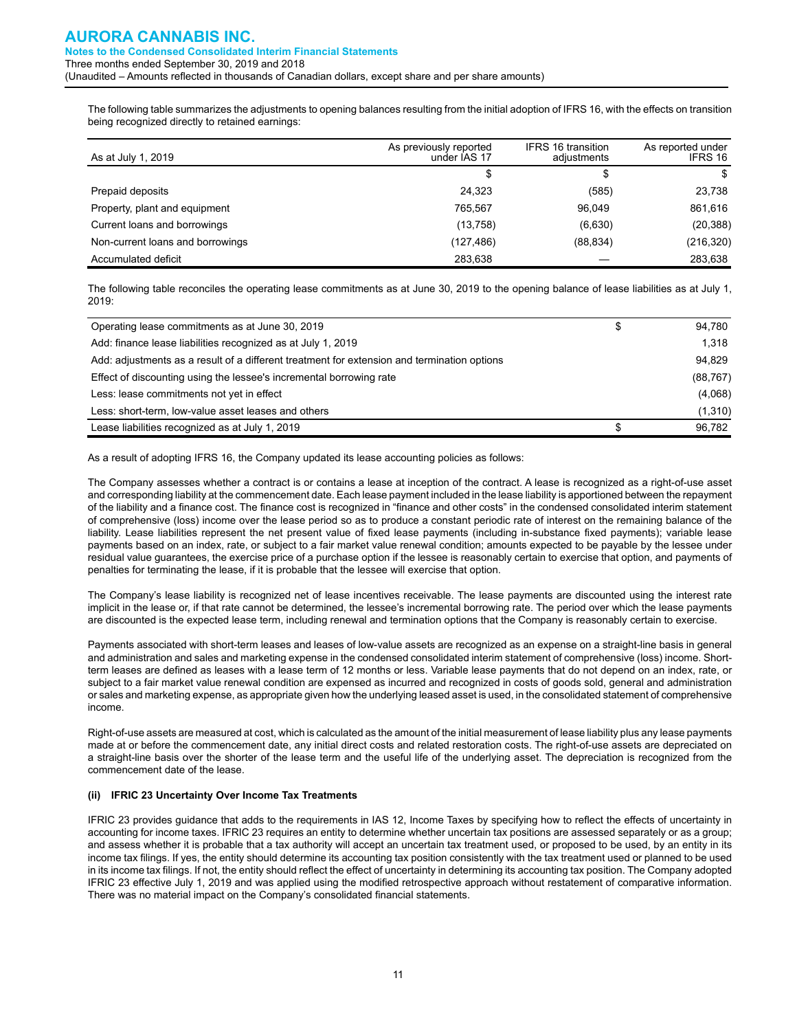The following table summarizes the adjustments to opening balances resulting from the initial adoption of IFRS 16, with the effects on transition being recognized directly to retained earnings:

| As at July 1, 2019               | As previously reported<br>under IAS 17 | IFRS 16 transition<br>adjustments | As reported under<br>IFRS 16 |
|----------------------------------|----------------------------------------|-----------------------------------|------------------------------|
|                                  | \$                                     | \$                                | S                            |
| Prepaid deposits                 | 24.323                                 | (585)                             | 23,738                       |
| Property, plant and equipment    | 765.567                                | 96.049                            | 861,616                      |
| Current loans and borrowings     | (13,758)                               | (6,630)                           | (20, 388)                    |
| Non-current loans and borrowings | (127, 486)                             | (88, 834)                         | (216,320)                    |
| Accumulated deficit              | 283.638                                |                                   | 283,638                      |

The following table reconciles the operating lease commitments as at June 30, 2019 to the opening balance of lease liabilities as at July 1, 2019:

| Operating lease commitments as at June 30, 2019                                             | 94,780    |
|---------------------------------------------------------------------------------------------|-----------|
| Add: finance lease liabilities recognized as at July 1, 2019                                | 1,318     |
| Add: adjustments as a result of a different treatment for extension and termination options | 94.829    |
| Effect of discounting using the lessee's incremental borrowing rate                         | (88, 767) |
| Less: lease commitments not yet in effect                                                   | (4,068)   |
| Less: short-term, low-value asset leases and others                                         | (1,310)   |
| Lease liabilities recognized as at July 1, 2019                                             | 96.782    |

As a result of adopting IFRS 16, the Company updated its lease accounting policies as follows:

The Company assesses whether a contract is or contains a lease at inception of the contract. A lease is recognized as a right-of-use asset and corresponding liability at the commencement date. Each lease payment included in the lease liability is apportioned between the repayment of the liability and a finance cost. The finance cost is recognized in "finance and other costs" in the condensed consolidated interim statement of comprehensive (loss) income over the lease period so as to produce a constant periodic rate of interest on the remaining balance of the liability. Lease liabilities represent the net present value of fixed lease payments (including in-substance fixed payments); variable lease payments based on an index, rate, or subject to a fair market value renewal condition; amounts expected to be payable by the lessee under residual value guarantees, the exercise price of a purchase option if the lessee is reasonably certain to exercise that option, and payments of penalties for terminating the lease, if it is probable that the lessee will exercise that option.

The Company's lease liability is recognized net of lease incentives receivable. The lease payments are discounted using the interest rate implicit in the lease or, if that rate cannot be determined, the lessee's incremental borrowing rate. The period over which the lease payments are discounted is the expected lease term, including renewal and termination options that the Company is reasonably certain to exercise.

Payments associated with short-term leases and leases of low-value assets are recognized as an expense on a straight-line basis in general and administration and sales and marketing expense in the condensed consolidated interim statement of comprehensive (loss) income. Shortterm leases are defined as leases with a lease term of 12 months or less. Variable lease payments that do not depend on an index, rate, or subject to a fair market value renewal condition are expensed as incurred and recognized in costs of goods sold, general and administration or sales and marketing expense, as appropriate given how the underlying leased asset is used, in the consolidated statement of comprehensive income.

Right-of-use assets are measured at cost, which is calculated as the amount of the initial measurement of lease liability plus any lease payments made at or before the commencement date, any initial direct costs and related restoration costs. The right-of-use assets are depreciated on a straight-line basis over the shorter of the lease term and the useful life of the underlying asset. The depreciation is recognized from the commencement date of the lease.

#### **(ii) IFRIC 23 Uncertainty Over Income Tax Treatments**

IFRIC 23 provides guidance that adds to the requirements in IAS 12, Income Taxes by specifying how to reflect the effects of uncertainty in accounting for income taxes. IFRIC 23 requires an entity to determine whether uncertain tax positions are assessed separately or as a group; and assess whether it is probable that a tax authority will accept an uncertain tax treatment used, or proposed to be used, by an entity in its income tax filings. If yes, the entity should determine its accounting tax position consistently with the tax treatment used or planned to be used in its income tax filings. If not, the entity should reflect the effect of uncertainty in determining its accounting tax position. The Company adopted IFRIC 23 effective July 1, 2019 and was applied using the modified retrospective approach without restatement of comparative information. There was no material impact on the Company's consolidated financial statements.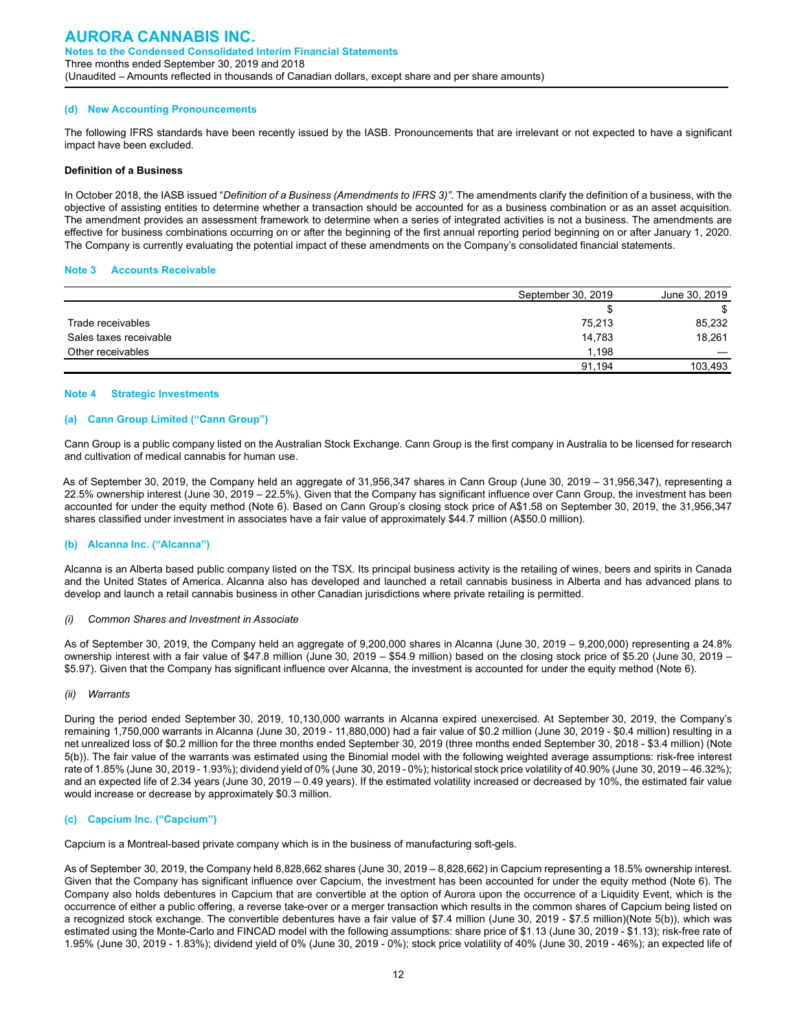#### **(d) New Accounting Pronouncements**

The following IFRS standards have been recently issued by the IASB. Pronouncements that are irrelevant or not expected to have a significant impact have been excluded.

#### **Definition of a Business**

In October 2018, the IASB issued "*Definition of a Business (Amendments to IFRS 3)"*. The amendments clarify the definition of a business, with the objective of assisting entities to determine whether a transaction should be accounted for as a business combination or as an asset acquisition. The amendment provides an assessment framework to determine when a series of integrated activities is not a business. The amendments are effective for business combinations occurring on or after the beginning of the first annual reporting period beginning on or after January 1, 2020. The Company is currently evaluating the potential impact of these amendments on the Company's consolidated financial statements.

#### **Note 3 Accounts Receivable**

|                        | September 30, 2019 | June 30, 2019 |
|------------------------|--------------------|---------------|
|                        |                    |               |
| Trade receivables      | 75,213             | 85,232        |
| Sales taxes receivable | 14,783             | 18,261        |
| Other receivables      | 1.198              |               |
|                        | 91.194             | 103.493       |

#### **Note 4 Strategic Investments**

#### **(a) Cann Group Limited ("Cann Group")**

Cann Group is a public company listed on the Australian Stock Exchange. Cann Group is the first company in Australia to be licensed for research and cultivation of medical cannabis for human use.

As of September 30, 2019, the Company held an aggregate of 31,956,347 shares in Cann Group (June 30, 2019 – 31,956,347), representing a 22.5% ownership interest (June 30, 2019 – 22.5%). Given that the Company has significant influence over Cann Group, the investment has been accounted for under the equity method (Note 6). Based on Cann Group's closing stock price of A\$1.58 on September 30, 2019, the 31,956,347 shares classified under investment in associates have a fair value of approximately \$44.7 million (A\$50.0 million).

#### **(b) Alcanna Inc. ("Alcanna")**

Alcanna is an Alberta based public company listed on the TSX. Its principal business activity is the retailing of wines, beers and spirits in Canada and the United States of America. Alcanna also has developed and launched a retail cannabis business in Alberta and has advanced plans to develop and launch a retail cannabis business in other Canadian jurisdictions where private retailing is permitted.

#### *(i) Common Shares and Investment in Associate*

As of September 30, 2019, the Company held an aggregate of 9,200,000 shares in Alcanna (June 30, 2019 – 9,200,000) representing a 24.8% ownership interest with a fair value of \$47.8 million (June 30, 2019 – \$54.9 million) based on the closing stock price of \$5.20 (June 30, 2019 – \$5.97). Given that the Company has significant influence over Alcanna, the investment is accounted for under the equity method (Note 6).

#### *(ii) Warrants*

During the period ended September 30, 2019, 10,130,000 warrants in Alcanna expired unexercised. At September 30, 2019, the Company's remaining 1,750,000 warrants in Alcanna (June 30, 2019 - 11,880,000) had a fair value of \$0.2 million (June 30, 2019 - \$0.4 million) resulting in a net unrealized loss of \$0.2 million for the three months ended September 30, 2019 (three months ended September 30, 2018 - \$3.4 million) (Note 5(b)). The fair value of the warrants was estimated using the Binomial model with the following weighted average assumptions: risk-free interest rate of 1.85% (June 30, 2019 - 1.93%); dividend yield of 0% (June 30, 2019 - 0%); historical stock price volatility of 40.90% (June 30, 2019 – 46.32%); and an expected life of 2.34 years (June 30, 2019 – 0.49 years). If the estimated volatility increased or decreased by 10%, the estimated fair value would increase or decrease by approximately \$0.3 million.

#### **(c) Capcium Inc. ("Capcium")**

Capcium is a Montreal-based private company which is in the business of manufacturing soft-gels.

As of September 30, 2019, the Company held 8,828,662 shares (June 30, 2019 – 8,828,662) in Capcium representing a 18.5% ownership interest. Given that the Company has significant influence over Capcium, the investment has been accounted for under the equity method (Note 6). The Company also holds debentures in Capcium that are convertible at the option of Aurora upon the occurrence of a Liquidity Event, which is the occurrence of either a public offering, a reverse take-over or a merger transaction which results in the common shares of Capcium being listed on a recognized stock exchange. The convertible debentures have a fair value of \$7.4 million (June 30, 2019 - \$7.5 million)(Note 5(b)), which was estimated using the Monte-Carlo and FINCAD model with the following assumptions: share price of \$1.13 (June 30, 2019 - \$1.13); risk-free rate of 1.95% (June 30, 2019 - 1.83%); dividend yield of 0% (June 30, 2019 - 0%); stock price volatility of 40% (June 30, 2019 - 46%); an expected life of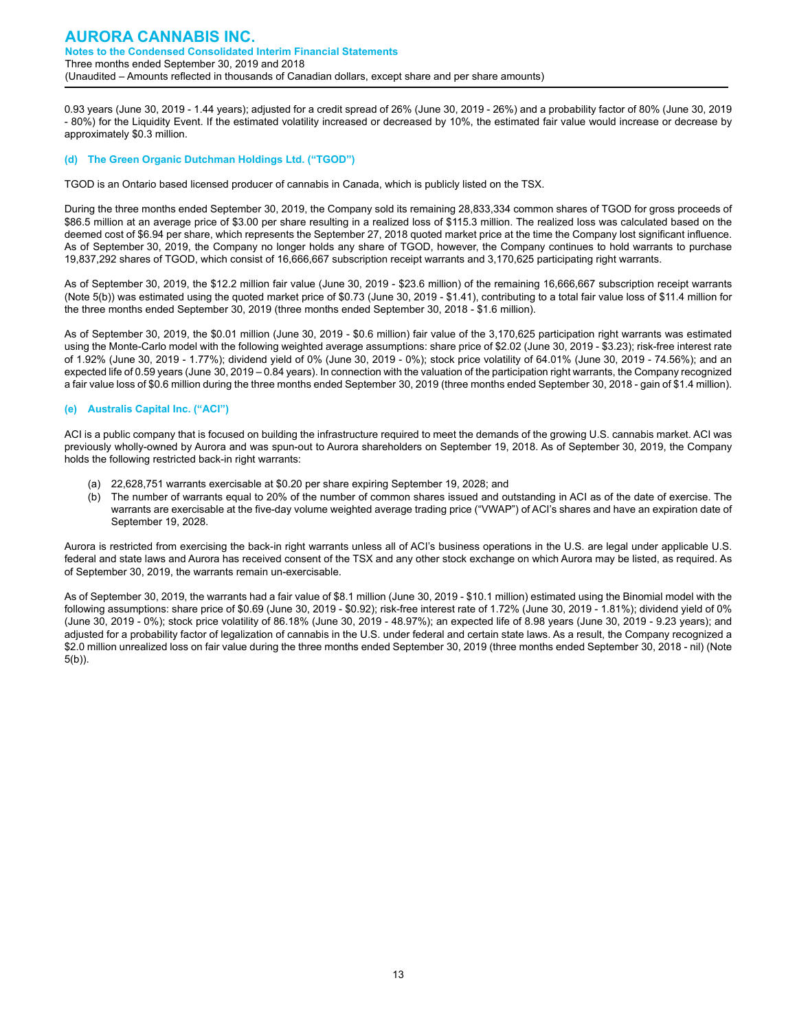0.93 years (June 30, 2019 - 1.44 years); adjusted for a credit spread of 26% (June 30, 2019 - 26%) and a probability factor of 80% (June 30, 2019 - 80%) for the Liquidity Event. If the estimated volatility increased or decreased by 10%, the estimated fair value would increase or decrease by approximately \$0.3 million.

#### **(d) The Green Organic Dutchman Holdings Ltd. ("TGOD")**

TGOD is an Ontario based licensed producer of cannabis in Canada, which is publicly listed on the TSX.

During the three months ended September 30, 2019, the Company sold its remaining 28,833,334 common shares of TGOD for gross proceeds of \$86.5 million at an average price of \$3.00 per share resulting in a realized loss of \$115.3 million. The realized loss was calculated based on the deemed cost of \$6.94 per share, which represents the September 27, 2018 quoted market price at the time the Company lost significant influence. As of September 30, 2019, the Company no longer holds any share of TGOD, however, the Company continues to hold warrants to purchase 19,837,292 shares of TGOD, which consist of 16,666,667 subscription receipt warrants and 3,170,625 participating right warrants.

As of September 30, 2019, the \$12.2 million fair value (June 30, 2019 - \$23.6 million) of the remaining 16,666,667 subscription receipt warrants (Note 5(b)) was estimated using the quoted market price of \$0.73 (June 30, 2019 - \$1.41), contributing to a total fair value loss of \$11.4 million for the three months ended September 30, 2019 (three months ended September 30, 2018 - \$1.6 million).

As of September 30, 2019, the \$0.01 million (June 30, 2019 - \$0.6 million) fair value of the 3,170,625 participation right warrants was estimated using the Monte-Carlo model with the following weighted average assumptions: share price of \$2.02 (June 30, 2019 - \$3.23); risk-free interest rate of 1.92% (June 30, 2019 - 1.77%); dividend yield of 0% (June 30, 2019 - 0%); stock price volatility of 64.01% (June 30, 2019 - 74.56%); and an expected life of 0.59 years (June 30, 2019 – 0.84 years). In connection with the valuation of the participation right warrants, the Company recognized a fair value loss of \$0.6 million during the three months ended September 30, 2019 (three months ended September 30, 2018 - gain of \$1.4 million).

#### **(e) Australis Capital Inc. ("ACI")**

ACI is a public company that is focused on building the infrastructure required to meet the demands of the growing U.S. cannabis market. ACI was previously wholly-owned by Aurora and was spun-out to Aurora shareholders on September 19, 2018. As of September 30, 2019, the Company holds the following restricted back-in right warrants:

- (a) 22,628,751 warrants exercisable at \$0.20 per share expiring September 19, 2028; and
- (b) The number of warrants equal to 20% of the number of common shares issued and outstanding in ACI as of the date of exercise. The warrants are exercisable at the five-day volume weighted average trading price ("VWAP") of ACI's shares and have an expiration date of September 19, 2028.

Aurora is restricted from exercising the back-in right warrants unless all of ACI's business operations in the U.S. are legal under applicable U.S. federal and state laws and Aurora has received consent of the TSX and any other stock exchange on which Aurora may be listed, as required. As of September 30, 2019, the warrants remain un-exercisable.

As of September 30, 2019, the warrants had a fair value of \$8.1 million (June 30, 2019 - \$10.1 million) estimated using the Binomial model with the following assumptions: share price of \$0.69 (June 30, 2019 - \$0.92); risk-free interest rate of 1.72% (June 30, 2019 - 1.81%); dividend yield of 0% (June 30, 2019 - 0%); stock price volatility of 86.18% (June 30, 2019 - 48.97%); an expected life of 8.98 years (June 30, 2019 - 9.23 years); and adjusted for a probability factor of legalization of cannabis in the U.S. under federal and certain state laws. As a result, the Company recognized a \$2.0 million unrealized loss on fair value during the three months ended September 30, 2019 (three months ended September 30, 2018 - nil) (Note 5(b)).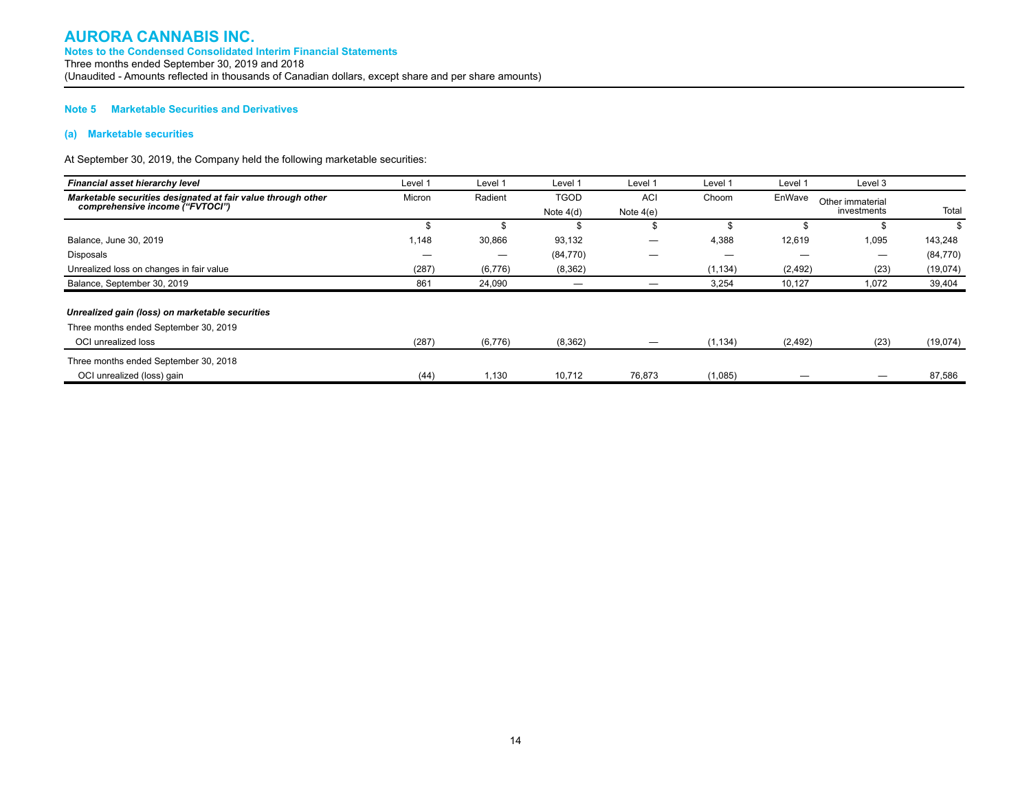#### **Note 5 Marketable Securities and Derivatives**

#### **(a) Marketable securities**

At September 30, 2019, the Company held the following marketable securities:

| Financial asset hierarchy level                              | Level 1 | Level 1 | Level 1     | Level 1     | Level 1  | Level 1  | Level 3          |           |
|--------------------------------------------------------------|---------|---------|-------------|-------------|----------|----------|------------------|-----------|
| Marketable securities designated at fair value through other | Micron  | Radient | <b>TGOD</b> | ACI         | Choom    | EnWave   | Other immaterial |           |
| comprehensive income ("FVTOCI")                              |         |         | Note $4(d)$ | Note $4(e)$ |          |          | investments      | Total     |
|                                                              | \$      |         | \$          |             |          |          |                  |           |
| Balance, June 30, 2019                                       | 1,148   | 30,866  | 93,132      |             | 4,388    | 12,619   | 1,095            | 143,248   |
| Disposals                                                    | —       |         | (84, 770)   |             | –        |          |                  | (84, 770) |
| Unrealized loss on changes in fair value                     | (287)   | (6,776) | (8, 362)    |             | (1, 134) | (2, 492) | (23)             | (19,074)  |
| Balance, September 30, 2019                                  | 861     | 24,090  |             |             | 3,254    | 10,127   | 1,072            | 39,404    |
| Unrealized gain (loss) on marketable securities              |         |         |             |             |          |          |                  |           |
| Three months ended September 30, 2019                        |         |         |             |             |          |          |                  |           |
| OCI unrealized loss                                          | (287)   | (6,776) | (8, 362)    |             | (1, 134) | (2, 492) | (23)             | (19,074)  |
| Three months ended September 30, 2018                        |         |         |             |             |          |          |                  |           |
| OCI unrealized (loss) gain                                   | (44)    | 1,130   | 10,712      | 76,873      | (1,085)  |          |                  | 87,586    |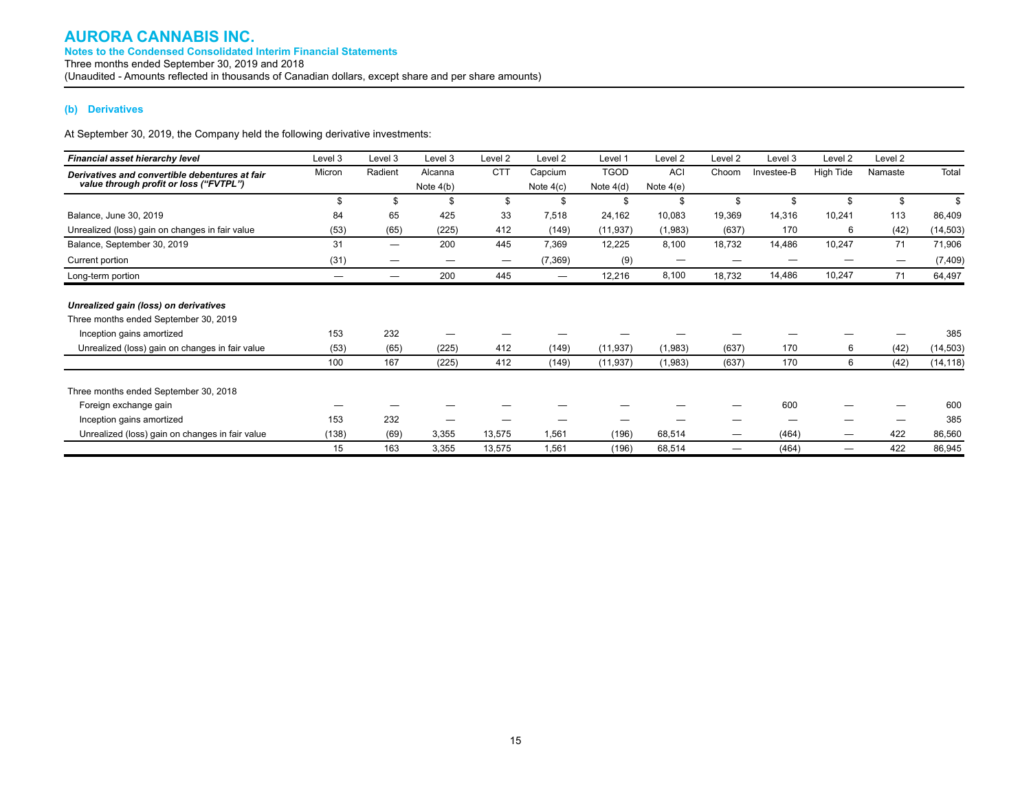#### **(b) Derivatives**

At September 30, 2019, the Company held the following derivative investments:

| Financial asset hierarchy level                 | Level 3 | Level 3                  | Level 3     | Level 2    | Level <sub>2</sub> | Level 1     | Level 2     | Level 2 | Level 3    | Level 2   | Level 2 |           |
|-------------------------------------------------|---------|--------------------------|-------------|------------|--------------------|-------------|-------------|---------|------------|-----------|---------|-----------|
| Derivatives and convertible debentures at fair  | Micron  | Radient                  | Alcanna     | <b>CTT</b> | Capcium            | <b>TGOD</b> | <b>ACI</b>  | Choom   | Investee-B | High Tide | Namaste | Total     |
| value through profit or loss ("FVTPL")          |         |                          | Note $4(b)$ |            | Note $4(c)$        | Note $4(d)$ | Note $4(e)$ |         |            |           |         |           |
|                                                 |         | \$                       | \$          | \$         | \$                 | \$          | \$          | \$      | \$         | \$        | \$      | \$        |
| Balance, June 30, 2019                          | 84      | 65                       | 425         | 33         | 7,518              | 24,162      | 10,083      | 19,369  | 14,316     | 10,241    | 113     | 86,409    |
| Unrealized (loss) gain on changes in fair value | (53)    | (65)                     | (225)       | 412        | (149)              | (11, 937)   | (1,983)     | (637)   | 170        | 6         | (42)    | (14, 503) |
| Balance, September 30, 2019                     | 31      | $\overline{\phantom{0}}$ | 200         | 445        | 7,369              | 12,225      | 8,100       | 18,732  | 14,486     | 10,247    | 71      | 71,906    |
| Current portion                                 | (31)    |                          | —           |            | (7, 369)           | (9)         | -           |         |            |           |         | (7, 409)  |
| Long-term portion                               |         |                          | 200         | 445        |                    | 12,216      | 8,100       | 18,732  | 14,486     | 10,247    | 71      | 64,497    |
| Unrealized gain (loss) on derivatives           |         |                          |             |            |                    |             |             |         |            |           |         |           |
| Three months ended September 30, 2019           |         |                          |             |            |                    |             |             |         |            |           |         |           |
| Inception gains amortized                       | 153     | 232                      |             |            |                    |             |             |         |            |           |         | 385       |
| Unrealized (loss) gain on changes in fair value | (53)    | (65)                     | (225)       | 412        | (149)              | (11, 937)   | (1,983)     | (637)   | 170        | 6         | (42)    | (14, 503) |
|                                                 | 100     | 167                      | (225)       | 412        | (149)              | (11, 937)   | (1,983)     | (637)   | 170        | 6         | (42)    | (14, 118) |
| Three months ended September 30, 2018           |         |                          |             |            |                    |             |             |         |            |           |         |           |
| Foreign exchange gain                           |         |                          |             |            |                    |             |             |         | 600        |           |         | 600       |
| Inception gains amortized                       | 153     | 232                      |             |            |                    |             |             |         |            |           |         | 385       |
| Unrealized (loss) gain on changes in fair value | (138)   | (69)                     | 3,355       | 13,575     | 1,561              | (196)       | 68,514      | —       | (464)      |           | 422     | 86,560    |
|                                                 | 15      | 163                      | 3,355       | 13,575     | 1,561              | (196)       | 68,514      |         | (464)      |           | 422     | 86,945    |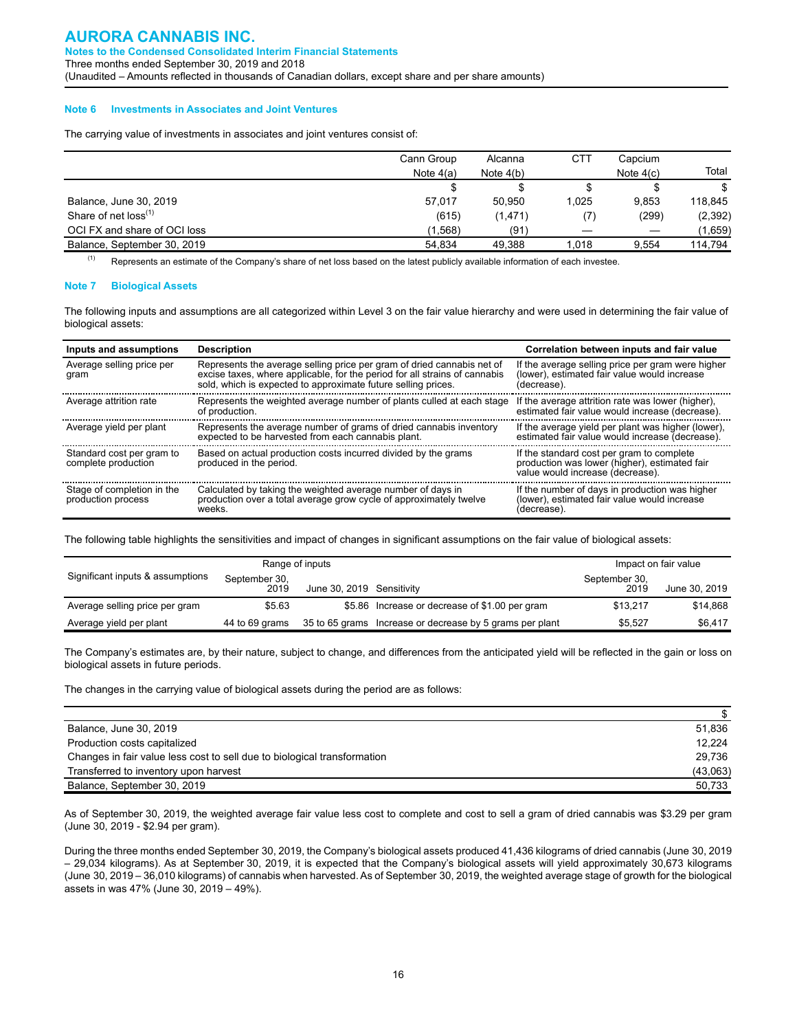#### **Note 6 Investments in Associates and Joint Ventures**

The carrying value of investments in associates and joint ventures consist of:

|                              | Cann Group<br>Note $4(a)$ | Alcanna<br>Note $4(b)$ | CTT   | Capcium<br>Note $4(c)$ | Total    |
|------------------------------|---------------------------|------------------------|-------|------------------------|----------|
|                              |                           |                        |       |                        | \$       |
| Balance, June 30, 2019       | 57.017                    | 50.950                 | 1.025 | 9,853                  | 118.845  |
| Share of net $loss^{(1)}$    | (615)                     | (1, 471)               |       | (299)                  | (2, 392) |
| OCI FX and share of OCI loss | (1.568)                   | (91)                   |       |                        | (1,659)  |
| Balance, September 30, 2019  | 54.834                    | 49,388                 | 1,018 | 9.554                  | 114.794  |

(1) Represents an estimate of the Company's share of net loss based on the latest publicly available information of each investee.

#### **Note 7 Biological Assets**

The following inputs and assumptions are all categorized within Level 3 on the fair value hierarchy and were used in determining the fair value of biological assets:

| Inputs and assumptions                           | <b>Description</b>                                                                                                                                                                                                    | Correlation between inputs and fair value                                                                                      |
|--------------------------------------------------|-----------------------------------------------------------------------------------------------------------------------------------------------------------------------------------------------------------------------|--------------------------------------------------------------------------------------------------------------------------------|
| Average selling price per<br>gram                | Represents the average selling price per gram of dried cannabis net of<br>excise taxes, where applicable, for the period for all strains of cannabis<br>sold, which is expected to approximate future selling prices. | If the average selling price per gram were higher<br>(lower), estimated fair value would increase<br>(decrease).               |
| Average attrition rate                           | Represents the weighted average number of plants culled at each stage<br>of production.                                                                                                                               | If the average attrition rate was lower (higher).<br>estimated fair value would increase (decrease).                           |
| Average yield per plant                          | Represents the average number of grams of dried cannabis inventory<br>expected to be harvested from each cannabis plant.                                                                                              | If the average yield per plant was higher (lower),<br>estimated fair value would increase (decrease).                          |
| Standard cost per gram to<br>complete production | Based on actual production costs incurred divided by the grams<br>produced in the period.                                                                                                                             | If the standard cost per gram to complete<br>production was lower (higher), estimated fair<br>value would increase (decrease). |
| Stage of completion in the<br>production process | Calculated by taking the weighted average number of days in<br>production over a total average grow cycle of approximately twelve<br>weeks                                                                            | If the number of days in production was higher<br>(lower), estimated fair value would increase<br>(decrease).                  |

The following table highlights the sensitivities and impact of changes in significant assumptions on the fair value of biological assets:

|                                  |                       | Range of inputs           |                                                          |                       | Impact on fair value |
|----------------------------------|-----------------------|---------------------------|----------------------------------------------------------|-----------------------|----------------------|
| Significant inputs & assumptions | September 30,<br>2019 | June 30, 2019 Sensitivity |                                                          | September 30,<br>2019 | June 30, 2019        |
| Average selling price per gram   | \$5.63                |                           | \$5.86 Increase or decrease of \$1.00 per gram           | \$13.217              | \$14.868             |
| Average yield per plant          | 44 to 69 grams        |                           | 35 to 65 grams Increase or decrease by 5 grams per plant | \$5.527               | \$6,417              |

The Company's estimates are, by their nature, subject to change, and differences from the anticipated yield will be reflected in the gain or loss on biological assets in future periods.

The changes in the carrying value of biological assets during the period are as follows:

| Balance, June 30, 2019                                                   | 51.836   |
|--------------------------------------------------------------------------|----------|
| Production costs capitalized                                             | 12.224   |
| Changes in fair value less cost to sell due to biological transformation | 29.736   |
| Transferred to inventory upon harvest                                    | (43,063) |
| Balance, September 30, 2019                                              | 50.733   |

As of September 30, 2019, the weighted average fair value less cost to complete and cost to sell a gram of dried cannabis was \$3.29 per gram (June 30, 2019 - \$2.94 per gram).

During the three months ended September 30, 2019, the Company's biological assets produced 41,436 kilograms of dried cannabis (June 30, 2019 – 29,034 kilograms). As at September 30, 2019, it is expected that the Company's biological assets will yield approximately 30,673 kilograms (June 30, 2019 – 36,010 kilograms) of cannabis when harvested. As of September 30, 2019, the weighted average stage of growth for the biological assets in was 47% (June 30, 2019 – 49%).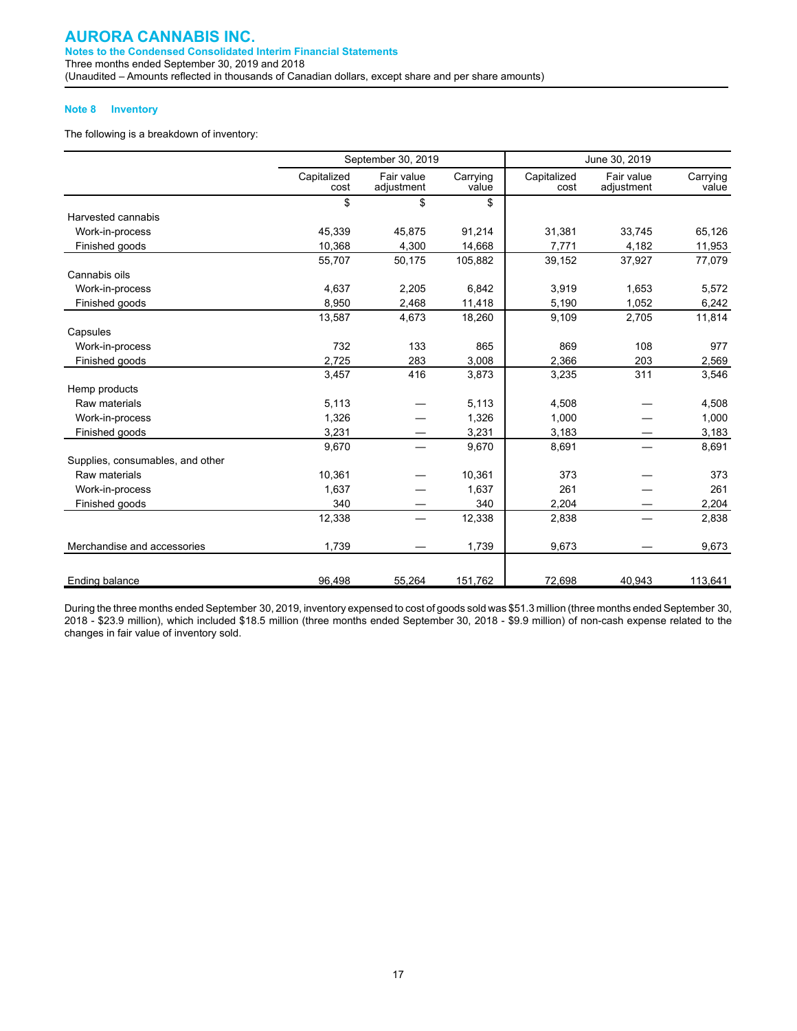#### **Note 8 Inventory**

The following is a breakdown of inventory:

|                                  |                     | September 30, 2019       |                   |                     | June 30, 2019            |                   |
|----------------------------------|---------------------|--------------------------|-------------------|---------------------|--------------------------|-------------------|
|                                  | Capitalized<br>cost | Fair value<br>adjustment | Carrying<br>value | Capitalized<br>cost | Fair value<br>adjustment | Carrying<br>value |
|                                  | \$                  | \$                       | \$                |                     |                          |                   |
| Harvested cannabis               |                     |                          |                   |                     |                          |                   |
| Work-in-process                  | 45,339              | 45,875                   | 91,214            | 31,381              | 33.745                   | 65,126            |
| Finished goods                   | 10,368              | 4,300                    | 14,668            | 7.771               | 4,182                    | 11,953            |
|                                  | 55,707              | 50,175                   | 105,882           | 39,152              | 37,927                   | 77,079            |
| Cannabis oils                    |                     |                          |                   |                     |                          |                   |
| Work-in-process                  | 4,637               | 2,205                    | 6,842             | 3,919               | 1,653                    | 5,572             |
| Finished goods                   | 8,950               | 2,468                    | 11,418            | 5,190               | 1,052                    | 6,242             |
|                                  | 13,587              | 4,673                    | 18,260            | 9,109               | 2,705                    | 11,814            |
| Capsules                         |                     |                          |                   |                     |                          |                   |
| Work-in-process                  | 732                 | 133                      | 865               | 869                 | 108                      | 977               |
| Finished goods                   | 2,725               | 283                      | 3,008             | 2,366               | 203                      | 2,569             |
|                                  | 3,457               | 416                      | 3,873             | 3,235               | 311                      | 3,546             |
| Hemp products                    |                     |                          |                   |                     |                          |                   |
| Raw materials                    | 5,113               |                          | 5.113             | 4,508               |                          | 4,508             |
| Work-in-process                  | 1,326               |                          | 1,326             | 1,000               |                          | 1,000             |
| Finished goods                   | 3,231               |                          | 3,231             | 3,183               |                          | 3,183             |
|                                  | 9,670               |                          | 9,670             | 8,691               |                          | 8,691             |
| Supplies, consumables, and other |                     |                          |                   |                     |                          |                   |
| Raw materials                    | 10,361              |                          | 10,361            | 373                 |                          | 373               |
| Work-in-process                  | 1.637               |                          | 1,637             | 261                 |                          | 261               |
| Finished goods                   | 340                 |                          | 340               | 2,204               |                          | 2,204             |
|                                  | 12,338              | $\overline{\phantom{0}}$ | 12,338            | 2,838               |                          | 2,838             |
| Merchandise and accessories      | 1,739               |                          | 1,739             | 9,673               |                          | 9,673             |
| Ending balance                   | 96,498              | 55,264                   | 151,762           | 72,698              | 40.943                   | 113.641           |

During the three months ended September 30, 2019, inventory expensed to cost of goods sold was \$51.3 million (three months ended September 30, 2018 - \$23.9 million), which included \$18.5 million (three months ended September 30, 2018 - \$9.9 million) of non-cash expense related to the changes in fair value of inventory sold.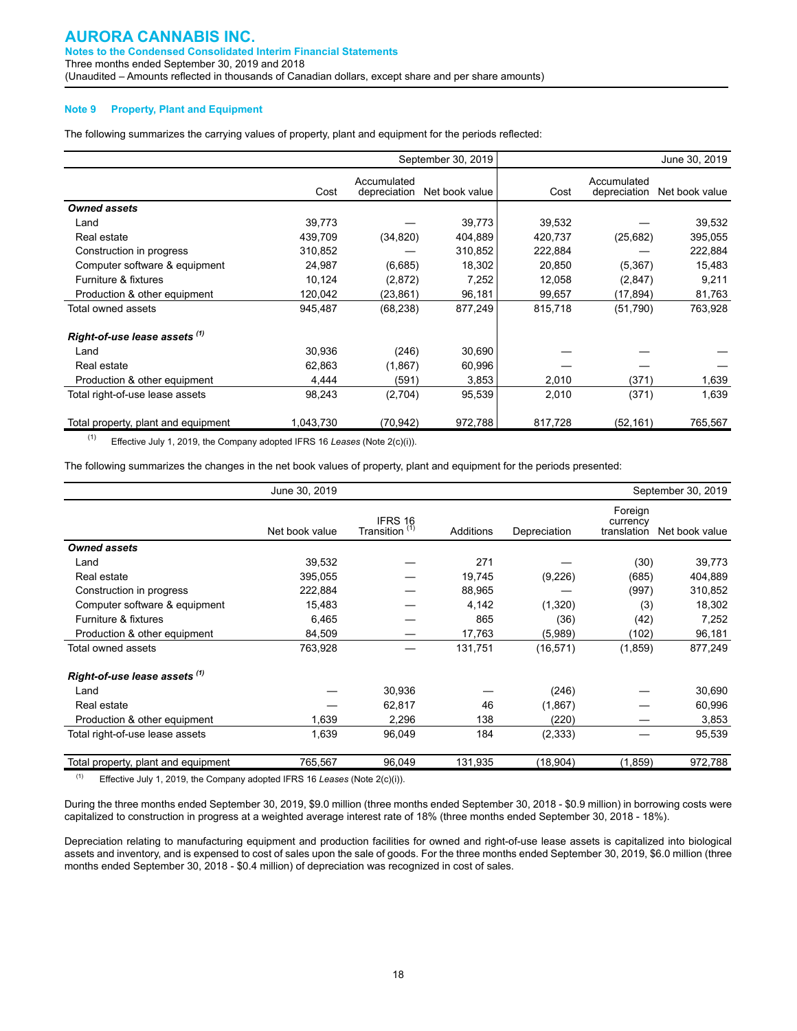#### **Note 9 Property, Plant and Equipment**

The following summarizes the carrying values of property, plant and equipment for the periods reflected:

|                                     |           |                             | September 30, 2019 |         |                             | June 30, 2019  |
|-------------------------------------|-----------|-----------------------------|--------------------|---------|-----------------------------|----------------|
|                                     | Cost      | Accumulated<br>depreciation | Net book value     | Cost    | Accumulated<br>depreciation | Net book value |
| <b>Owned assets</b>                 |           |                             |                    |         |                             |                |
| Land                                | 39,773    |                             | 39,773             | 39,532  |                             | 39,532         |
| Real estate                         | 439,709   | (34, 820)                   | 404,889            | 420,737 | (25,682)                    | 395,055        |
| Construction in progress            | 310,852   |                             | 310,852            | 222,884 |                             | 222,884        |
| Computer software & equipment       | 24,987    | (6,685)                     | 18,302             | 20,850  | (5, 367)                    | 15,483         |
| Furniture & fixtures                | 10,124    | (2,872)                     | 7,252              | 12,058  | (2,847)                     | 9,211          |
| Production & other equipment        | 120,042   | (23,861)                    | 96,181             | 99,657  | (17,894)                    | 81,763         |
| Total owned assets                  | 945,487   | (68, 238)                   | 877,249            | 815,718 | (51, 790)                   | 763,928        |
| Right-of-use lease assets (1)       |           |                             |                    |         |                             |                |
| Land                                | 30,936    | (246)                       | 30,690             |         |                             |                |
| Real estate                         | 62,863    | (1,867)                     | 60,996             |         |                             |                |
| Production & other equipment        | 4,444     | (591)                       | 3,853              | 2,010   | (371)                       | 1,639          |
| Total right-of-use lease assets     | 98,243    | (2,704)                     | 95,539             | 2,010   | (371)                       | 1,639          |
| Total property, plant and equipment | 1,043,730 | (70, 942)                   | 972,788            | 817,728 | (52, 161)                   | 765,567        |

(1) Effective July 1, 2019, the Company adopted IFRS 16 *Leases* (Note 2(c)(i)).

The following summarizes the changes in the net book values of property, plant and equipment for the periods presented:

|                                     | June 30, 2019  |                                      |           |              |                                    | September 30, 2019 |
|-------------------------------------|----------------|--------------------------------------|-----------|--------------|------------------------------------|--------------------|
|                                     | Net book value | IFRS 16<br>Transition <sup>(1)</sup> | Additions | Depreciation | Foreign<br>currency<br>translation | Net book value     |
| <b>Owned assets</b>                 |                |                                      |           |              |                                    |                    |
| Land                                | 39,532         |                                      | 271       |              | (30)                               | 39,773             |
| Real estate                         | 395,055        |                                      | 19,745    | (9,226)      | (685)                              | 404,889            |
| Construction in progress            | 222,884        |                                      | 88,965    |              | (997)                              | 310,852            |
| Computer software & equipment       | 15,483         |                                      | 4,142     | (1,320)      | (3)                                | 18,302             |
| Furniture & fixtures                | 6,465          |                                      | 865       | (36)         | (42)                               | 7,252              |
| Production & other equipment        | 84,509         |                                      | 17,763    | (5,989)      | (102)                              | 96,181             |
| Total owned assets                  | 763,928        |                                      | 131,751   | (16, 571)    | (1, 859)                           | 877,249            |
| Right-of-use lease assets (1)       |                |                                      |           |              |                                    |                    |
| Land                                |                | 30,936                               |           | (246)        |                                    | 30,690             |
| Real estate                         |                | 62,817                               | 46        | (1,867)      |                                    | 60,996             |
| Production & other equipment        | 1,639          | 2,296                                | 138       | (220)        |                                    | 3,853              |
| Total right-of-use lease assets     | 1,639          | 96,049                               | 184       | (2, 333)     |                                    | 95,539             |
| Total property, plant and equipment | 765,567        | 96,049                               | 131,935   | (18, 904)    | (1, 859)                           | 972,788            |

(1) Effective July 1, 2019, the Company adopted IFRS 16 *Leases* (Note 2(c)(i)).

During the three months ended September 30, 2019, \$9.0 million (three months ended September 30, 2018 - \$0.9 million) in borrowing costs were capitalized to construction in progress at a weighted average interest rate of 18% (three months ended September 30, 2018 - 18%).

Depreciation relating to manufacturing equipment and production facilities for owned and right-of-use lease assets is capitalized into biological assets and inventory, and is expensed to cost of sales upon the sale of goods. For the three months ended September 30, 2019, \$6.0 million (three months ended September 30, 2018 - \$0.4 million) of depreciation was recognized in cost of sales.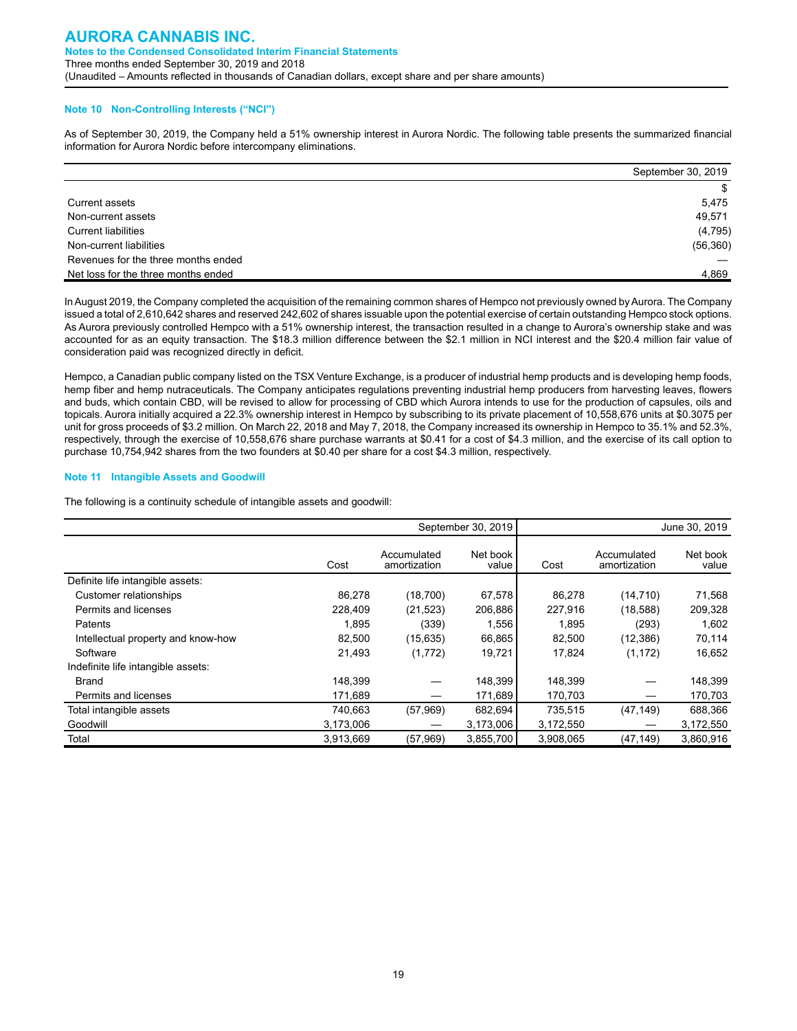#### **Note 10 Non-Controlling Interests ("NCI")**

As of September 30, 2019, the Company held a 51% ownership interest in Aurora Nordic. The following table presents the summarized financial information for Aurora Nordic before intercompany eliminations.

|                                     | September 30, 2019 |
|-------------------------------------|--------------------|
|                                     | \$                 |
| Current assets                      | 5.475              |
| Non-current assets                  | 49,571             |
| <b>Current liabilities</b>          | (4,795)            |
| Non-current liabilities             | (56, 360)          |
| Revenues for the three months ended |                    |
| Net loss for the three months ended | 4,869              |

In August 2019, the Company completed the acquisition of the remaining common shares of Hempco not previously owned by Aurora. The Company issued a total of 2,610,642 shares and reserved 242,602 of shares issuable upon the potential exercise of certain outstanding Hempco stock options. As Aurora previously controlled Hempco with a 51% ownership interest, the transaction resulted in a change to Aurora's ownership stake and was accounted for as an equity transaction. The \$18.3 million difference between the \$2.1 million in NCI interest and the \$20.4 million fair value of consideration paid was recognized directly in deficit.

Hempco, a Canadian public company listed on the TSX Venture Exchange, is a producer of industrial hemp products and is developing hemp foods, hemp fiber and hemp nutraceuticals. The Company anticipates regulations preventing industrial hemp producers from harvesting leaves, flowers and buds, which contain CBD, will be revised to allow for processing of CBD which Aurora intends to use for the production of capsules, oils and topicals. Aurora initially acquired a 22.3% ownership interest in Hempco by subscribing to its private placement of 10,558,676 units at \$0.3075 per unit for gross proceeds of \$3.2 million. On March 22, 2018 and May 7, 2018, the Company increased its ownership in Hempco to 35.1% and 52.3%, respectively, through the exercise of 10,558,676 share purchase warrants at \$0.41 for a cost of \$4.3 million, and the exercise of its call option to purchase 10,754,942 shares from the two founders at \$0.40 per share for a cost \$4.3 million, respectively.

#### **Note 11 Intangible Assets and Goodwill**

The following is a continuity schedule of intangible assets and goodwill:

|                                    |           |                             | September 30, 2019 |           |                             | June 30, 2019     |
|------------------------------------|-----------|-----------------------------|--------------------|-----------|-----------------------------|-------------------|
|                                    | Cost      | Accumulated<br>amortization | Net book<br>value  | Cost      | Accumulated<br>amortization | Net book<br>value |
| Definite life intangible assets:   |           |                             |                    |           |                             |                   |
| Customer relationships             | 86,278    | (18,700)                    | 67,578             | 86,278    | (14, 710)                   | 71,568            |
| Permits and licenses               | 228,409   | (21, 523)                   | 206,886            | 227,916   | (18,588)                    | 209,328           |
| Patents                            | 1,895     | (339)                       | 1,556              | 1,895     | (293)                       | 1,602             |
| Intellectual property and know-how | 82,500    | (15, 635)                   | 66,865             | 82,500    | (12, 386)                   | 70,114            |
| Software                           | 21,493    | (1,772)                     | 19,721             | 17.824    | (1, 172)                    | 16,652            |
| Indefinite life intangible assets: |           |                             |                    |           |                             |                   |
| Brand                              | 148,399   |                             | 148,399            | 148,399   |                             | 148,399           |
| Permits and licenses               | 171,689   |                             | 171,689            | 170,703   |                             | 170,703           |
| Total intangible assets            | 740,663   | (57, 969)                   | 682,694            | 735,515   | (47, 149)                   | 688,366           |
| Goodwill                           | 3,173,006 |                             | 3,173,006          | 3,172,550 |                             | 3,172,550         |
| Total                              | 3,913,669 | (57, 969)                   | 3,855,700          | 3,908,065 | (47, 149)                   | 3,860,916         |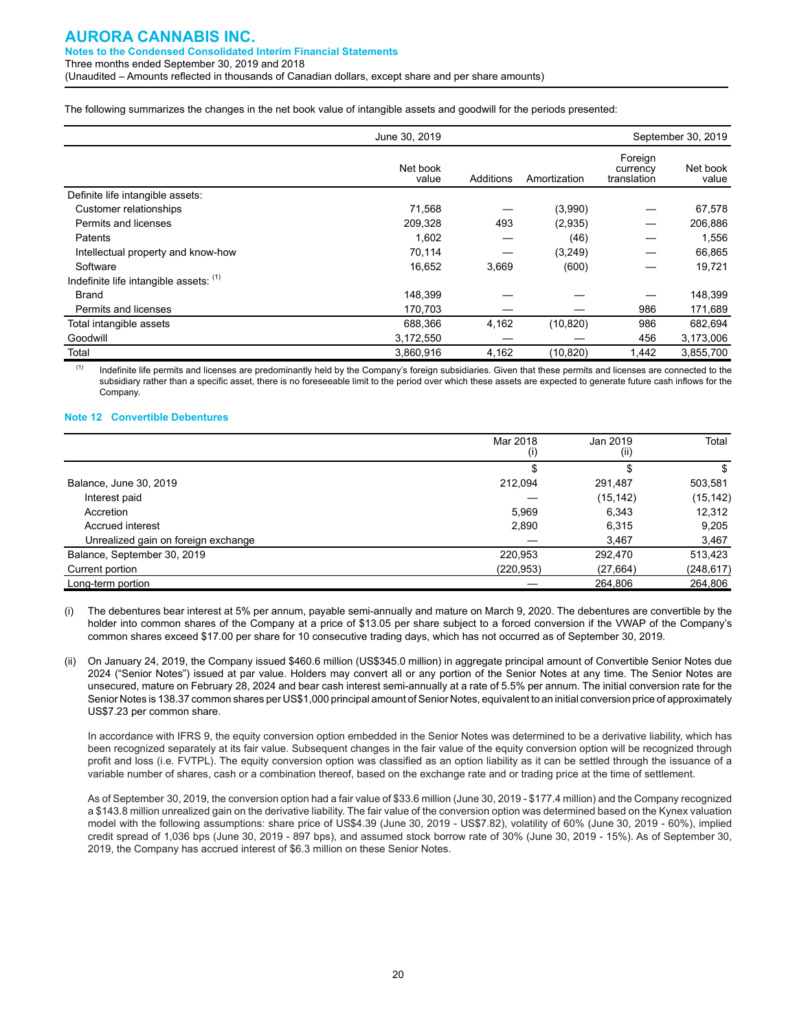The following summarizes the changes in the net book value of intangible assets and goodwill for the periods presented:

|                                        | June 30, 2019     |           | September 30, 2019 |                                    |                   |
|----------------------------------------|-------------------|-----------|--------------------|------------------------------------|-------------------|
|                                        | Net book<br>value | Additions | Amortization       | Foreign<br>currency<br>translation | Net book<br>value |
| Definite life intangible assets:       |                   |           |                    |                                    |                   |
| Customer relationships                 | 71.568            |           | (3,990)            |                                    | 67,578            |
| Permits and licenses                   | 209,328           | 493       | (2,935)            |                                    | 206,886           |
| Patents                                | 1,602             |           | (46)               |                                    | 1,556             |
| Intellectual property and know-how     | 70,114            |           | (3,249)            |                                    | 66,865            |
| Software                               | 16,652            | 3,669     | (600)              |                                    | 19,721            |
| Indefinite life intangible assets: (1) |                   |           |                    |                                    |                   |
| <b>Brand</b>                           | 148,399           |           |                    |                                    | 148,399           |
| Permits and licenses                   | 170,703           |           |                    | 986                                | 171,689           |
| Total intangible assets                | 688,366           | 4,162     | (10, 820)          | 986                                | 682,694           |
| Goodwill                               | 3,172,550         |           |                    | 456                                | 3,173,006         |
| Total                                  | 3.860.916         | 4,162     | (10, 820)          | 1,442                              | 3,855,700         |

<sup>(1)</sup> Indefinite life permits and licenses are predominantly held by the Company's foreign subsidiaries. Given that these permits and licenses are connected to the subsidiary rather than a specific asset, there is no foreseeable limit to the period over which these assets are expected to generate future cash inflows for the Company.

#### **Note 12 Convertible Debentures**

|                                     | Mar 2018<br>(i) | Jan 2019<br>(i) | Total      |
|-------------------------------------|-----------------|-----------------|------------|
|                                     |                 |                 | S          |
| Balance, June 30, 2019              | 212.094         | 291,487         | 503,581    |
| Interest paid                       |                 | (15, 142)       | (15, 142)  |
| Accretion                           | 5.969           | 6.343           | 12,312     |
| Accrued interest                    | 2,890           | 6.315           | 9,205      |
| Unrealized gain on foreign exchange |                 | 3,467           | 3,467      |
| Balance, September 30, 2019         | 220.953         | 292,470         | 513,423    |
| Current portion                     | (220,953)       | (27, 664)       | (248, 617) |
| Long-term portion                   |                 | 264,806         | 264,806    |

The debentures bear interest at 5% per annum, payable semi-annually and mature on March 9, 2020. The debentures are convertible by the holder into common shares of the Company at a price of \$13.05 per share subject to a forced conversion if the VWAP of the Company's common shares exceed \$17.00 per share for 10 consecutive trading days, which has not occurred as of September 30, 2019.

(ii) On January 24, 2019, the Company issued \$460.6 million (US\$345.0 million) in aggregate principal amount of Convertible Senior Notes due 2024 ("Senior Notes") issued at par value. Holders may convert all or any portion of the Senior Notes at any time. The Senior Notes are unsecured, mature on February 28, 2024 and bear cash interest semi-annually at a rate of 5.5% per annum. The initial conversion rate for the Senior Notes is 138.37 common shares per US\$1,000 principal amount of Senior Notes, equivalent to an initial conversion price of approximately US\$7.23 per common share.

In accordance with IFRS 9, the equity conversion option embedded in the Senior Notes was determined to be a derivative liability, which has been recognized separately at its fair value. Subsequent changes in the fair value of the equity conversion option will be recognized through profit and loss (i.e. FVTPL). The equity conversion option was classified as an option liability as it can be settled through the issuance of a variable number of shares, cash or a combination thereof, based on the exchange rate and or trading price at the time of settlement.

As of September 30, 2019, the conversion option had a fair value of \$33.6 million (June 30, 2019 - \$177.4 million) and the Company recognized a \$143.8 million unrealized gain on the derivative liability. The fair value of the conversion option was determined based on the Kynex valuation model with the following assumptions: share price of US\$4.39 (June 30, 2019 - US\$7.82), volatility of 60% (June 30, 2019 - 60%), implied credit spread of 1,036 bps (June 30, 2019 - 897 bps), and assumed stock borrow rate of 30% (June 30, 2019 - 15%). As of September 30, 2019, the Company has accrued interest of \$6.3 million on these Senior Notes.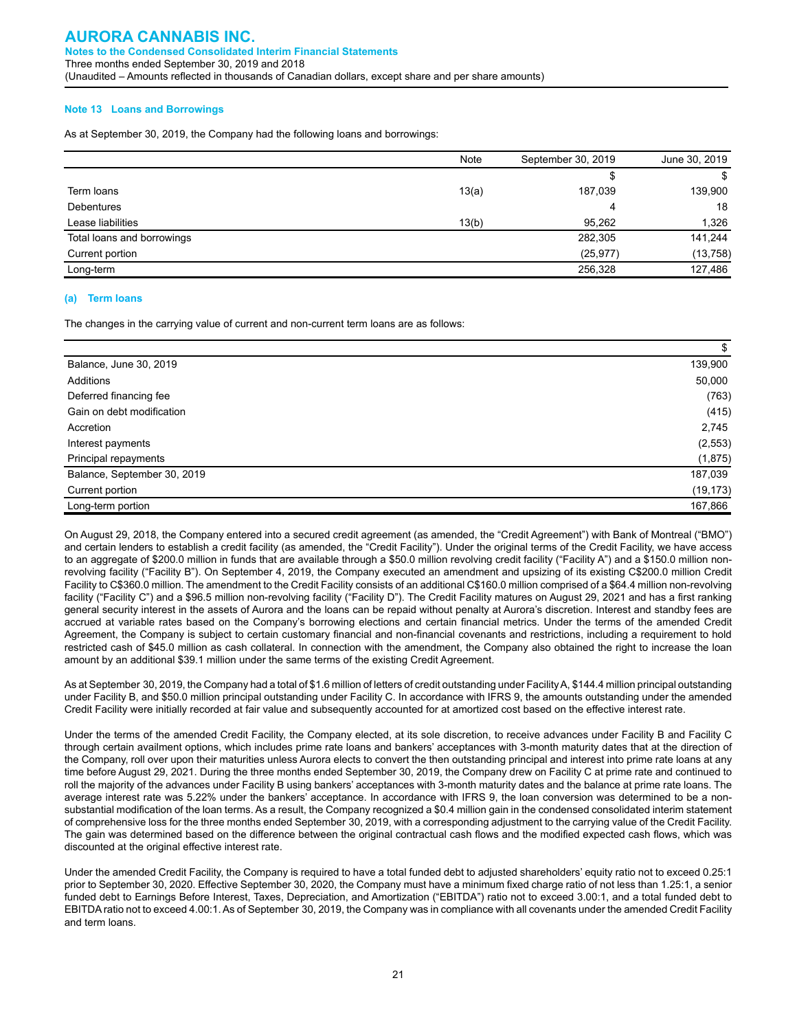#### **Note 13 Loans and Borrowings**

As at September 30, 2019, the Company had the following loans and borrowings:

|                            | <b>Note</b> | September 30, 2019 | June 30, 2019 |
|----------------------------|-------------|--------------------|---------------|
|                            |             |                    | \$            |
| Term loans                 | 13(a)       | 187,039            | 139,900       |
| <b>Debentures</b>          |             | 4                  | 18            |
| Lease liabilities          | 13(b)       | 95,262             | 1,326         |
| Total loans and borrowings |             | 282,305            | 141,244       |
| Current portion            |             | (25, 977)          | (13, 758)     |
| Long-term                  |             | 256,328            | 127,486       |
|                            |             |                    |               |

#### **(a) Term loans**

The changes in the carrying value of current and non-current term loans are as follows:

|                             | \$        |
|-----------------------------|-----------|
| Balance, June 30, 2019      | 139,900   |
| Additions                   | 50,000    |
| Deferred financing fee      | (763)     |
| Gain on debt modification   | (415)     |
| Accretion                   | 2,745     |
| Interest payments           | (2, 553)  |
| Principal repayments        | (1,875)   |
| Balance, September 30, 2019 | 187,039   |
| Current portion             | (19, 173) |
| Long-term portion           | 167,866   |

On August 29, 2018, the Company entered into a secured credit agreement (as amended, the "Credit Agreement") with Bank of Montreal ("BMO") and certain lenders to establish a credit facility (as amended, the "Credit Facility"). Under the original terms of the Credit Facility, we have access to an aggregate of \$200.0 million in funds that are available through a \$50.0 million revolving credit facility ("Facility A") and a \$150.0 million nonrevolving facility ("Facility B"). On September 4, 2019, the Company executed an amendment and upsizing of its existing C\$200.0 million Credit Facility to C\$360.0 million. The amendment to the Credit Facility consists of an additional C\$160.0 million comprised of a \$64.4 million non-revolving facility ("Facility C") and a \$96.5 million non-revolving facility ("Facility D"). The Credit Facility matures on August 29, 2021 and has a first ranking general security interest in the assets of Aurora and the loans can be repaid without penalty at Aurora's discretion. Interest and standby fees are accrued at variable rates based on the Company's borrowing elections and certain financial metrics. Under the terms of the amended Credit Agreement, the Company is subject to certain customary financial and non-financial covenants and restrictions, including a requirement to hold restricted cash of \$45.0 million as cash collateral. In connection with the amendment, the Company also obtained the right to increase the loan amount by an additional \$39.1 million under the same terms of the existing Credit Agreement.

As at September 30, 2019, the Company had a total of \$1.6 million of letters of credit outstanding under Facility A, \$144.4 million principal outstanding under Facility B, and \$50.0 million principal outstanding under Facility C. In accordance with IFRS 9, the amounts outstanding under the amended Credit Facility were initially recorded at fair value and subsequently accounted for at amortized cost based on the effective interest rate.

Under the terms of the amended Credit Facility, the Company elected, at its sole discretion, to receive advances under Facility B and Facility C through certain availment options, which includes prime rate loans and bankers' acceptances with 3-month maturity dates that at the direction of the Company, roll over upon their maturities unless Aurora elects to convert the then outstanding principal and interest into prime rate loans at any time before August 29, 2021. During the three months ended September 30, 2019, the Company drew on Facility C at prime rate and continued to roll the majority of the advances under Facility B using bankers' acceptances with 3-month maturity dates and the balance at prime rate loans. The average interest rate was 5.22% under the bankers' acceptance. In accordance with IFRS 9, the loan conversion was determined to be a nonsubstantial modification of the loan terms. As a result, the Company recognized a \$0.4 million gain in the condensed consolidated interim statement of comprehensive loss for the three months ended September 30, 2019, with a corresponding adjustment to the carrying value of the Credit Facility. The gain was determined based on the difference between the original contractual cash flows and the modified expected cash flows, which was discounted at the original effective interest rate.

Under the amended Credit Facility, the Company is required to have a total funded debt to adjusted shareholders' equity ratio not to exceed 0.25:1 prior to September 30, 2020. Effective September 30, 2020, the Company must have a minimum fixed charge ratio of not less than 1.25:1, a senior funded debt to Earnings Before Interest, Taxes, Depreciation, and Amortization ("EBITDA") ratio not to exceed 3.00:1, and a total funded debt to EBITDA ratio not to exceed 4.00:1. As of September 30, 2019, the Company was in compliance with all covenants under the amended Credit Facility and term loans.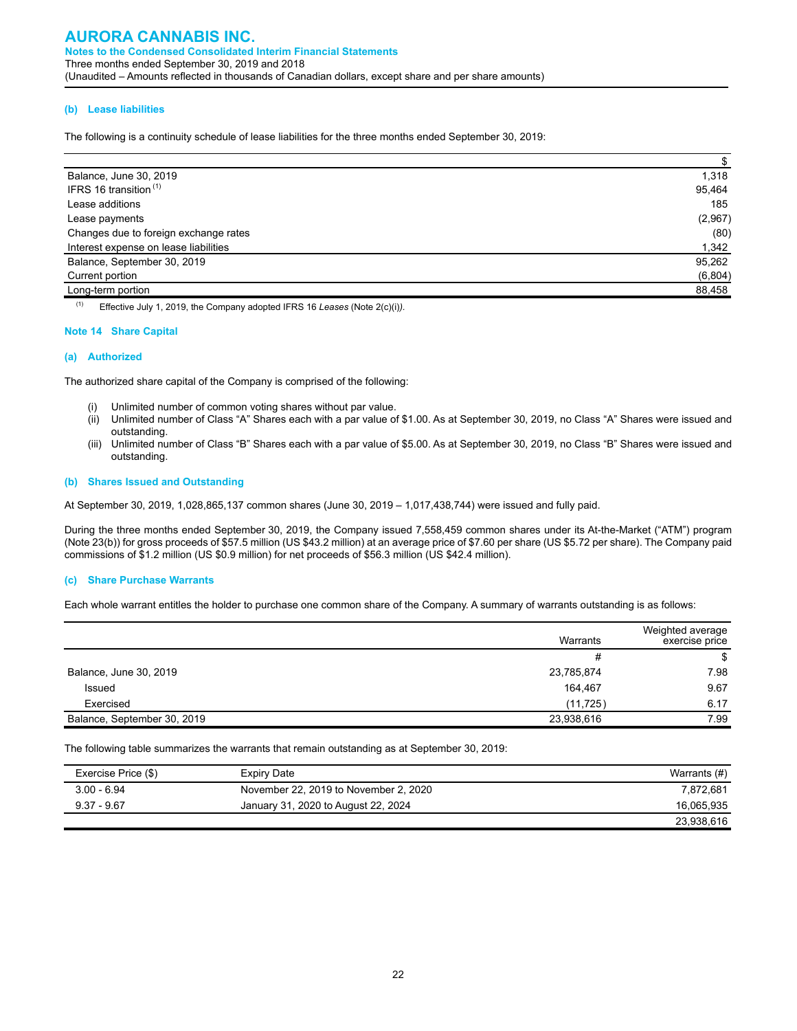#### **(b) Lease liabilities**

The following is a continuity schedule of lease liabilities for the three months ended September 30, 2019:

| Balance, June 30, 2019                | 1,318   |
|---------------------------------------|---------|
| IFRS 16 transition $(1)$              | 95,464  |
| Lease additions                       | 185     |
| Lease payments                        | (2,967) |
| Changes due to foreign exchange rates | (80)    |
| Interest expense on lease liabilities | 1,342   |
| Balance, September 30, 2019           | 95,262  |
| Current portion                       | (6,804) |
| Long-term portion                     | 88,458  |

(1) Effective July 1, 2019, the Company adopted IFRS 16 *Leases* (Note 2(c)(i)*).*

#### **Note 14 Share Capital**

#### **(a) Authorized**

The authorized share capital of the Company is comprised of the following:

- (i) Unlimited number of common voting shares without par value.
- (ii) Unlimited number of Class "A" Shares each with a par value of \$1.00. As at September 30, 2019, no Class "A" Shares were issued and outstanding.
- (iii) Unlimited number of Class "B" Shares each with a par value of \$5.00. As at September 30, 2019, no Class "B" Shares were issued and outstanding.

#### **(b) Shares Issued and Outstanding**

At September 30, 2019, 1,028,865,137 common shares (June 30, 2019 – 1,017,438,744) were issued and fully paid.

During the three months ended September 30, 2019, the Company issued 7,558,459 common shares under its At-the-Market ("ATM") program (Note 23(b)) for gross proceeds of \$57.5 million (US \$43.2 million) at an average price of \$7.60 per share (US \$5.72 per share). The Company paid commissions of \$1.2 million (US \$0.9 million) for net proceeds of \$56.3 million (US \$42.4 million).

#### **(c) Share Purchase Warrants**

Each whole warrant entitles the holder to purchase one common share of the Company. A summary of warrants outstanding is as follows:

|                             | Warrants   | Weighted average<br>exercise price |
|-----------------------------|------------|------------------------------------|
|                             | #          | S                                  |
| Balance, June 30, 2019      | 23,785,874 | 7.98                               |
| Issued                      | 164.467    | 9.67                               |
| Exercised                   | (11, 725)  | 6.17                               |
| Balance, September 30, 2019 | 23,938,616 | 7.99                               |

The following table summarizes the warrants that remain outstanding as at September 30, 2019:

| Exercise Price (\$) | Expiry Date                           | Warrants (#) |
|---------------------|---------------------------------------|--------------|
| $3.00 - 6.94$       | November 22, 2019 to November 2, 2020 | 7.872.681    |
| $9.37 - 9.67$       | January 31, 2020 to August 22, 2024   | 16,065,935   |
|                     |                                       | 23,938,616   |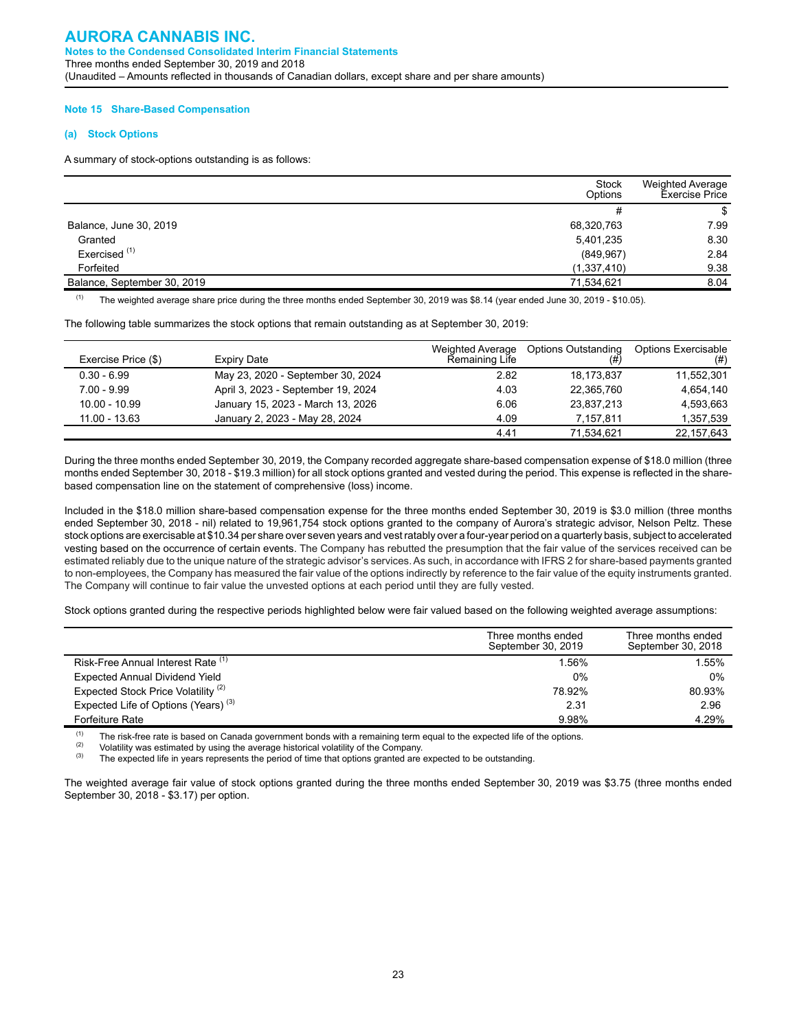#### **Note 15 Share-Based Compensation**

#### **(a) Stock Options**

A summary of stock-options outstanding is as follows:

|                             | Stock<br>Options | <b>Weighted Average</b><br><b>Exercise Price</b> |
|-----------------------------|------------------|--------------------------------------------------|
|                             | #                | S                                                |
| Balance, June 30, 2019      | 68,320,763       | 7.99                                             |
| Granted                     | 5,401,235        | 8.30                                             |
| Exercised <sup>(1)</sup>    | (849, 967)       | 2.84                                             |
| Forfeited                   | (1,337,410)      | 9.38                                             |
| Balance, September 30, 2019 | 71,534,621       | 8.04                                             |

 $(1)$  The weighted average share price during the three months ended September 30, 2019 was \$8.14 (year ended June 30, 2019 - \$10.05).

The following table summarizes the stock options that remain outstanding as at September 30, 2019:

| Exercise Price (\$) | Expiry Date                        | Weighted Average<br>Remaining Life | <b>Options Outstanding</b><br>(# | Options Exercisable<br>(# ) |
|---------------------|------------------------------------|------------------------------------|----------------------------------|-----------------------------|
| $0.30 - 6.99$       | May 23, 2020 - September 30, 2024  | 2.82                               | 18.173.837                       | 11.552.301                  |
| $7.00 - 9.99$       | April 3, 2023 - September 19, 2024 | 4.03                               | 22.365.760                       | 4.654.140                   |
| $10.00 - 10.99$     | January 15, 2023 - March 13, 2026  | 6.06                               | 23.837.213                       | 4.593.663                   |
| $11.00 - 13.63$     | January 2, 2023 - May 28, 2024     | 4.09                               | 7.157.811                        | 1,357,539                   |
|                     |                                    | 4.41                               | 71.534.621                       | 22,157,643                  |

During the three months ended September 30, 2019, the Company recorded aggregate share-based compensation expense of \$18.0 million (three months ended September 30, 2018 - \$19.3 million) for all stock options granted and vested during the period. This expense is reflected in the sharebased compensation line on the statement of comprehensive (loss) income.

Included in the \$18.0 million share-based compensation expense for the three months ended September 30, 2019 is \$3.0 million (three months ended September 30, 2018 - nil) related to 19,961,754 stock options granted to the company of Aurora's strategic advisor, Nelson Peltz. These stock options are exercisable at \$10.34 per share over seven years and vest ratably over a four-year period on a quarterly basis, subject to accelerated vesting based on the occurrence of certain events. The Company has rebutted the presumption that the fair value of the services received can be estimated reliably due to the unique nature of the strategic advisor's services. As such, in accordance with IFRS 2 for share-based payments granted to non-employees, the Company has measured the fair value of the options indirectly by reference to the fair value of the equity instruments granted. The Company will continue to fair value the unvested options at each period until they are fully vested.

Stock options granted during the respective periods highlighted below were fair valued based on the following weighted average assumptions:

|                                                 | Three months ended<br>September 30, 2019 | Three months ended<br>September 30, 2018 |
|-------------------------------------------------|------------------------------------------|------------------------------------------|
| Risk-Free Annual Interest Rate (1)              | 1.56%                                    | 1.55%                                    |
| <b>Expected Annual Dividend Yield</b>           | $0\%$                                    | $0\%$                                    |
| Expected Stock Price Volatility <sup>(2)</sup>  | 78.92%                                   | 80.93%                                   |
| Expected Life of Options (Years) <sup>(3)</sup> | 2.31                                     | 2.96                                     |
| <b>Forfeiture Rate</b>                          | 9.98%                                    | 4.29%                                    |

(1) The risk-free rate is based on Canada government bonds with a remaining term equal to the expected life of the options.<br>(2) Moletility was ostimated by using the average historical valatility of the Company.

(2) Volatility was estimated by using the average historical volatility of the Company.<br>(3) The expected life in vegre represents the period of time that entires grapted are

The expected life in years represents the period of time that options granted are expected to be outstanding.

The weighted average fair value of stock options granted during the three months ended September 30, 2019 was \$3.75 (three months ended September 30, 2018 - \$3.17) per option.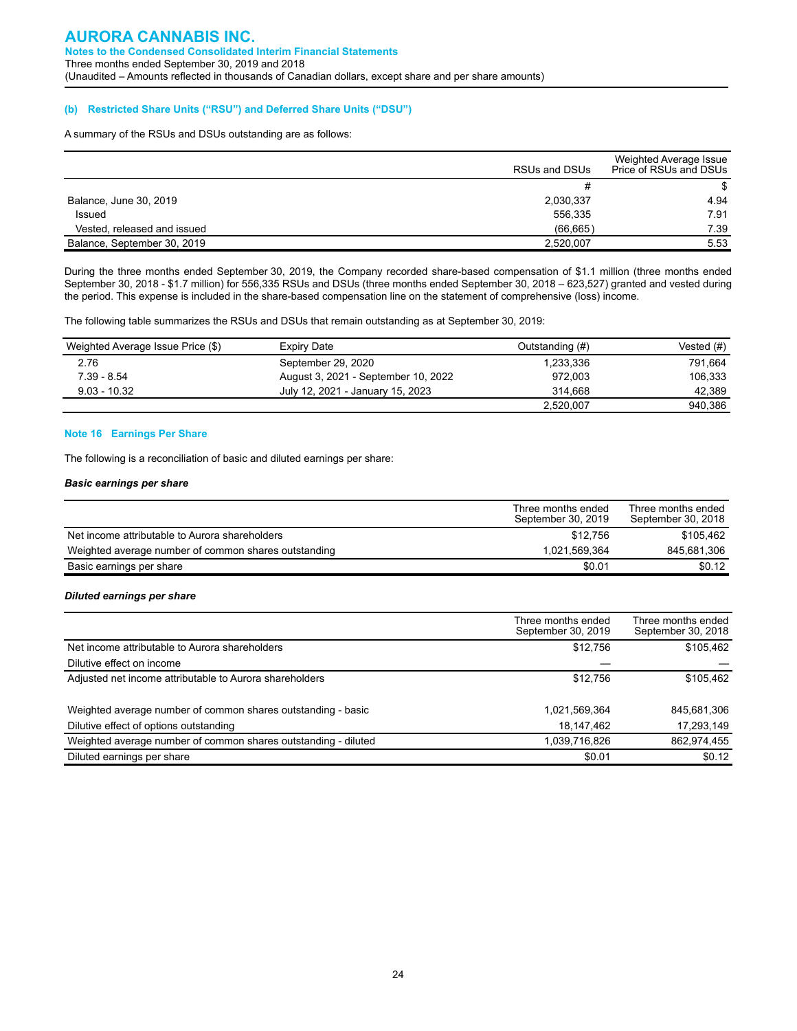#### **(b) Restricted Share Units ("RSU") and Deferred Share Units ("DSU")**

A summary of the RSUs and DSUs outstanding are as follows:

|                             | RSUs and DSUs | Weighted Average Issue<br>Price of RSUs and DSUs |
|-----------------------------|---------------|--------------------------------------------------|
|                             |               |                                                  |
| Balance, June 30, 2019      | 2,030,337     | 4.94                                             |
| Issued                      | 556.335       | 7.91                                             |
| Vested, released and issued | (66, 665)     | 7.39                                             |
| Balance, September 30, 2019 | 2.520.007     | 5.53                                             |

During the three months ended September 30, 2019, the Company recorded share-based compensation of \$1.1 million (three months ended September 30, 2018 - \$1.7 million) for 556,335 RSUs and DSUs (three months ended September 30, 2018 – 623,527) granted and vested during the period. This expense is included in the share-based compensation line on the statement of comprehensive (loss) income.

The following table summarizes the RSUs and DSUs that remain outstanding as at September 30, 2019:

| Weighted Average Issue Price (\$) | Expiry Date                         | Outstanding (#) | Vested (#) |
|-----------------------------------|-------------------------------------|-----------------|------------|
| 2.76                              | September 29, 2020                  | 1.233.336       | 791.664    |
| 7.39 - 8.54                       | August 3, 2021 - September 10, 2022 | 972.003         | 106,333    |
| $9.03 - 10.32$                    | July 12, 2021 - January 15, 2023    | 314.668         | 42.389     |
|                                   |                                     | 2,520,007       | 940,386    |

#### **Note 16 Earnings Per Share**

The following is a reconciliation of basic and diluted earnings per share:

#### *Basic earnings per share*

|                                                      | Three months ended<br>September 30, 2019 | Three months ended<br>September 30, 2018 |
|------------------------------------------------------|------------------------------------------|------------------------------------------|
| Net income attributable to Aurora shareholders       | \$12,756                                 | \$105,462                                |
| Weighted average number of common shares outstanding | 1.021.569.364                            | 845.681.306                              |
| Basic earnings per share                             | \$0.01                                   | \$0.12                                   |

#### *Diluted earnings per share*

|                                                                | Three months ended<br>September 30, 2019 | Three months ended<br>September 30, 2018 |
|----------------------------------------------------------------|------------------------------------------|------------------------------------------|
| Net income attributable to Aurora shareholders                 | \$12,756                                 | \$105,462                                |
| Dilutive effect on income                                      |                                          |                                          |
| Adjusted net income attributable to Aurora shareholders        | \$12,756                                 | \$105,462                                |
| Weighted average number of common shares outstanding - basic   | 1,021,569,364                            | 845,681,306                              |
| Dilutive effect of options outstanding                         | 18,147,462                               | 17,293,149                               |
| Weighted average number of common shares outstanding - diluted | 1,039,716,826                            | 862,974,455                              |
| Diluted earnings per share                                     | \$0.01                                   | \$0.12                                   |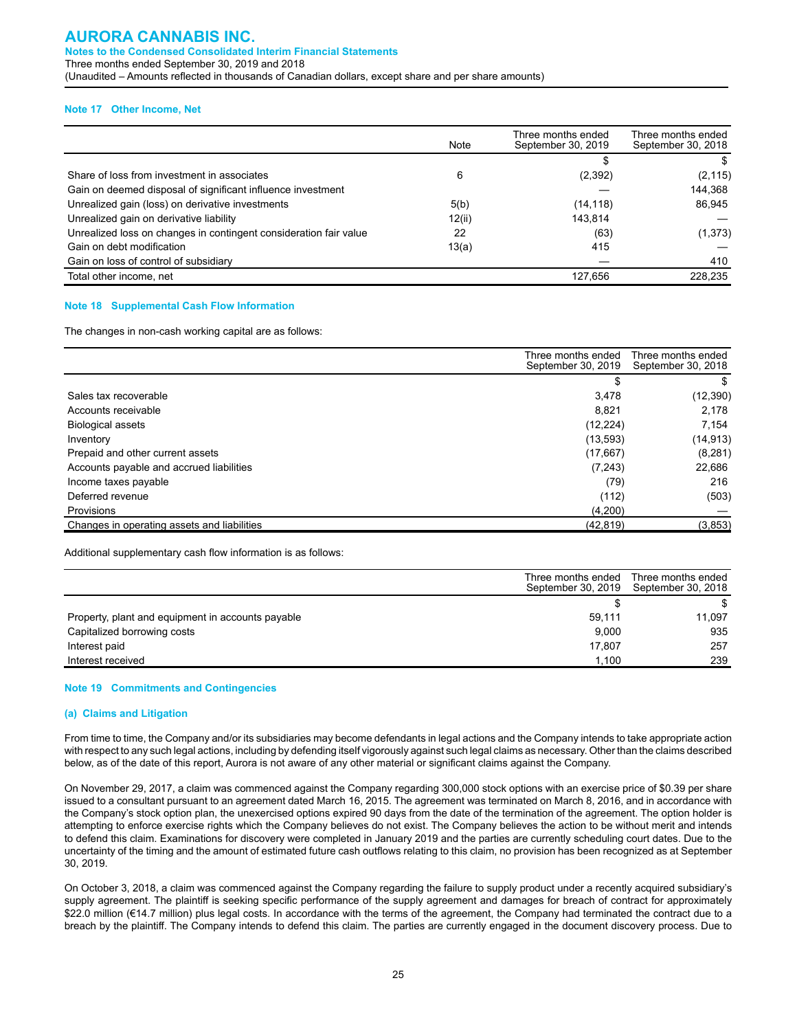#### **AURORA CANNABIS INC. Notes to the Condensed Consolidated Interim Financial Statements** Three months ended September 30, 2019 and 2018 (Unaudited – Amounts reflected in thousands of Canadian dollars, except share and per share amounts)

#### **Note 17 Other Income, Net**

|                                                                   | Note   | Three months ended<br>September 30, 2019 | Three months ended<br>September 30, 2018 |
|-------------------------------------------------------------------|--------|------------------------------------------|------------------------------------------|
|                                                                   |        |                                          |                                          |
| Share of loss from investment in associates                       | 6      | (2, 392)                                 | (2, 115)                                 |
| Gain on deemed disposal of significant influence investment       |        |                                          | 144,368                                  |
| Unrealized gain (loss) on derivative investments                  | 5(b)   | (14, 118)                                | 86.945                                   |
| Unrealized gain on derivative liability                           | 12(ii) | 143.814                                  |                                          |
| Unrealized loss on changes in contingent consideration fair value | 22     | (63)                                     | (1, 373)                                 |
| Gain on debt modification                                         | 13(a)  | 415                                      |                                          |
| Gain on loss of control of subsidiary                             |        |                                          | 410                                      |
| Total other income, net                                           |        | 127,656                                  | 228,235                                  |

#### **Note 18 Supplemental Cash Flow Information**

The changes in non-cash working capital are as follows:

|                                             | Three months ended<br>September 30, 2019 | Three months ended<br>September 30, 2018 |
|---------------------------------------------|------------------------------------------|------------------------------------------|
|                                             |                                          |                                          |
| Sales tax recoverable                       | 3,478                                    | (12, 390)                                |
| Accounts receivable                         | 8.821                                    | 2.178                                    |
| <b>Biological assets</b>                    | (12, 224)                                | 7.154                                    |
| Inventory                                   | (13, 593)                                | (14, 913)                                |
| Prepaid and other current assets            | (17,667)                                 | (8, 281)                                 |
| Accounts payable and accrued liabilities    | (7, 243)                                 | 22,686                                   |
| Income taxes payable                        | (79)                                     | 216                                      |
| Deferred revenue                            | (112)                                    | (503)                                    |
| Provisions                                  | (4,200)                                  |                                          |
| Changes in operating assets and liabilities | (42, 819)                                | (3,853)                                  |

Additional supplementary cash flow information is as follows:

|                                                   | Three months ended | Three months ended<br>September 30, 2019 September 30, 2018 |
|---------------------------------------------------|--------------------|-------------------------------------------------------------|
|                                                   |                    |                                                             |
| Property, plant and equipment in accounts payable | 59,111             | 11.097                                                      |
| Capitalized borrowing costs                       | 9.000              | 935                                                         |
| Interest paid                                     | 17.807             | 257                                                         |
| Interest received                                 | 1.100              | 239                                                         |

#### **Note 19 Commitments and Contingencies**

#### **(a) Claims and Litigation**

From time to time, the Company and/or its subsidiaries may become defendants in legal actions and the Company intends to take appropriate action with respect to any such legal actions, including by defending itself vigorously against such legal claims as necessary. Other than the claims described below, as of the date of this report, Aurora is not aware of any other material or significant claims against the Company.

On November 29, 2017, a claim was commenced against the Company regarding 300,000 stock options with an exercise price of \$0.39 per share issued to a consultant pursuant to an agreement dated March 16, 2015. The agreement was terminated on March 8, 2016, and in accordance with the Company's stock option plan, the unexercised options expired 90 days from the date of the termination of the agreement. The option holder is attempting to enforce exercise rights which the Company believes do not exist. The Company believes the action to be without merit and intends to defend this claim. Examinations for discovery were completed in January 2019 and the parties are currently scheduling court dates. Due to the uncertainty of the timing and the amount of estimated future cash outflows relating to this claim, no provision has been recognized as at September 30, 2019.

On October 3, 2018, a claim was commenced against the Company regarding the failure to supply product under a recently acquired subsidiary's supply agreement. The plaintiff is seeking specific performance of the supply agreement and damages for breach of contract for approximately \$22.0 million (€14.7 million) plus legal costs. In accordance with the terms of the agreement, the Company had terminated the contract due to a breach by the plaintiff. The Company intends to defend this claim. The parties are currently engaged in the document discovery process. Due to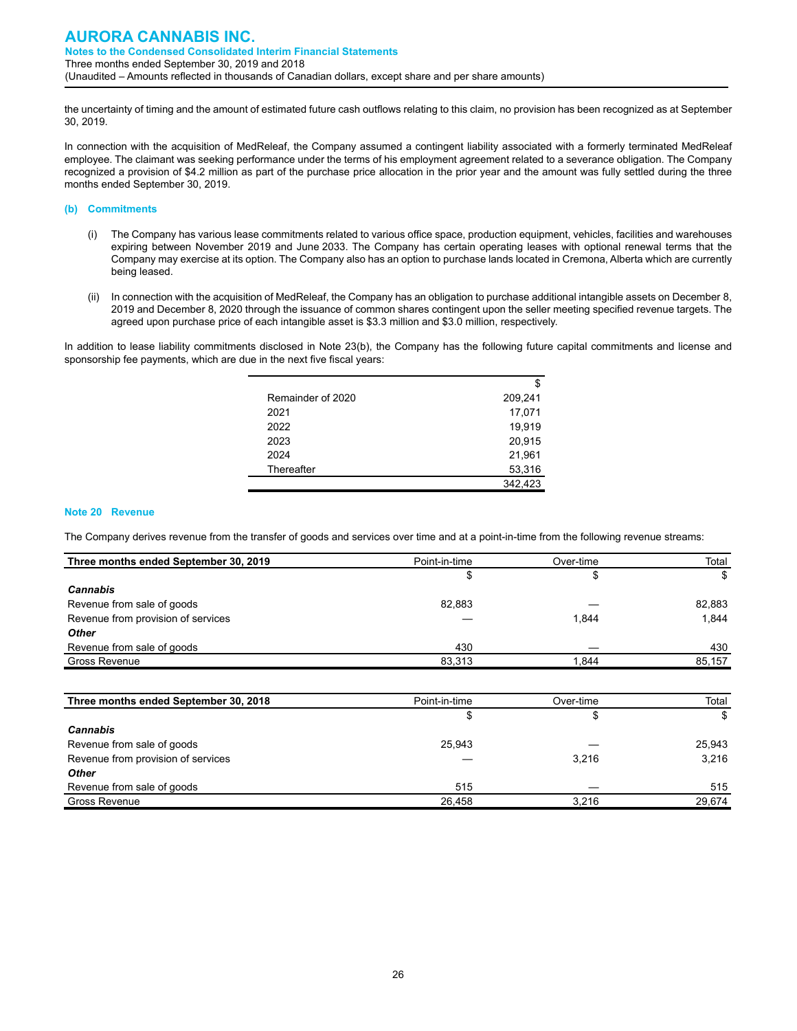the uncertainty of timing and the amount of estimated future cash outflows relating to this claim, no provision has been recognized as at September 30, 2019.

In connection with the acquisition of MedReleaf, the Company assumed a contingent liability associated with a formerly terminated MedReleaf employee. The claimant was seeking performance under the terms of his employment agreement related to a severance obligation. The Company recognized a provision of \$4.2 million as part of the purchase price allocation in the prior year and the amount was fully settled during the three months ended September 30, 2019.

#### **(b) Commitments**

- (i) The Company has various lease commitments related to various office space, production equipment, vehicles, facilities and warehouses expiring between November 2019 and June 2033. The Company has certain operating leases with optional renewal terms that the Company may exercise at its option. The Company also has an option to purchase lands located in Cremona, Alberta which are currently being leased.
- (ii) In connection with the acquisition of MedReleaf, the Company has an obligation to purchase additional intangible assets on December 8, 2019 and December 8, 2020 through the issuance of common shares contingent upon the seller meeting specified revenue targets. The agreed upon purchase price of each intangible asset is \$3.3 million and \$3.0 million, respectively.

In addition to lease liability commitments disclosed in Note 23(b), the Company has the following future capital commitments and license and sponsorship fee payments, which are due in the next five fiscal years:

|                   | \$      |
|-------------------|---------|
| Remainder of 2020 | 209,241 |
| 2021              | 17,071  |
| 2022              | 19,919  |
| 2023              | 20,915  |
| 2024              | 21,961  |
| Thereafter        | 53,316  |
|                   | 342.423 |

#### **Note 20 Revenue**

The Company derives revenue from the transfer of goods and services over time and at a point-in-time from the following revenue streams:

| Three months ended September 30, 2019 | Point-in-time | Over-time | Total  |
|---------------------------------------|---------------|-----------|--------|
|                                       | \$            | \$        | \$     |
| <b>Cannabis</b>                       |               |           |        |
| Revenue from sale of goods            | 82.883        |           | 82,883 |
| Revenue from provision of services    |               | 1,844     | 1.844  |
| <b>Other</b>                          |               |           |        |
| Revenue from sale of goods            | 430           |           | 430    |
| <b>Gross Revenue</b>                  | 83,313        | 1,844     | 85,157 |
|                                       |               |           |        |
| Three months ended September 30, 2018 | Point-in-time | Over-time | Total  |
|                                       | \$            | \$        | \$     |
| <b>Cannabis</b>                       |               |           |        |
| Revenue from sale of goods            | 25.943        |           | 25.943 |

| Revenue from sale of goods         | 25.943 |       | 25.943 |
|------------------------------------|--------|-------|--------|
| Revenue from provision of services |        | 3.216 | 3.216  |
| <b>Other</b>                       |        |       |        |
| Revenue from sale of goods         | 515    |       | 515    |
| Gross Revenue                      | 26.458 | 3.216 | 29.674 |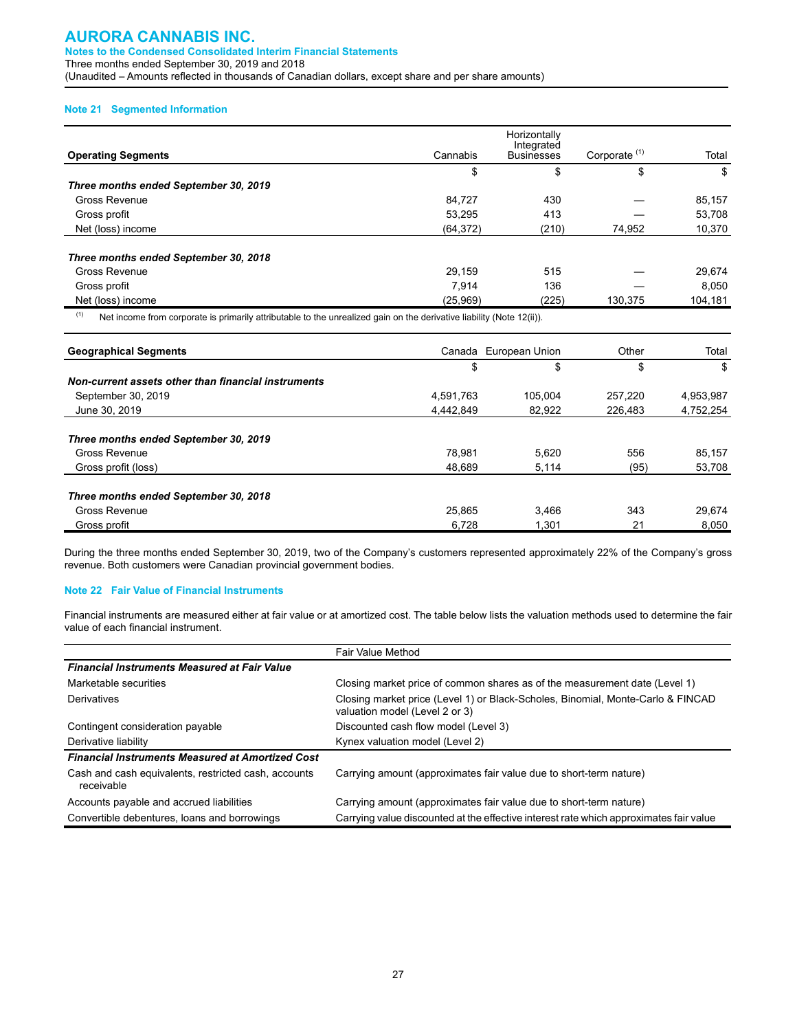#### **Note 21 Segmented Information**

| <b>Operating Segments</b>             | Cannabis  | Horizontally<br>Integrated<br><b>Businesses</b> | Corporate <sup>(1)</sup> | Total   |
|---------------------------------------|-----------|-------------------------------------------------|--------------------------|---------|
|                                       | \$        | \$                                              | \$                       | \$      |
| Three months ended September 30, 2019 |           |                                                 |                          |         |
| Gross Revenue                         | 84.727    | 430                                             |                          | 85,157  |
| Gross profit                          | 53.295    | 413                                             |                          | 53,708  |
| Net (loss) income                     | (64, 372) | (210)                                           | 74,952                   | 10,370  |
| Three months ended September 30, 2018 |           |                                                 |                          |         |
| Gross Revenue                         | 29,159    | 515                                             |                          | 29,674  |
| Gross profit                          | 7.914     | 136                                             |                          | 8.050   |
| Net (loss) income                     | (25,969)  | (225)                                           | 130,375                  | 104,181 |

 $(1)$  Net income from corporate is primarily attributable to the unrealized gain on the derivative liability (Note 12(ii)).

| <b>Geographical Segments</b>                        |           | Canada European Union | Other   | Total     |
|-----------------------------------------------------|-----------|-----------------------|---------|-----------|
|                                                     | \$        | \$                    | \$      | \$        |
| Non-current assets other than financial instruments |           |                       |         |           |
| September 30, 2019                                  | 4,591,763 | 105.004               | 257.220 | 4,953,987 |
| June 30, 2019                                       | 4.442.849 | 82.922                | 226.483 | 4,752,254 |
| Three months ended September 30, 2019               |           |                       |         |           |
| Gross Revenue                                       | 78.981    | 5.620                 | 556     | 85.157    |
| Gross profit (loss)                                 | 48.689    | 5,114                 | (95)    | 53,708    |
| Three months ended September 30, 2018               |           |                       |         |           |
| Gross Revenue                                       | 25.865    | 3.466                 | 343     | 29.674    |
| Gross profit                                        | 6,728     | 1.301                 | 21      | 8.050     |

During the three months ended September 30, 2019, two of the Company's customers represented approximately 22% of the Company's gross revenue. Both customers were Canadian provincial government bodies.

#### **Note 22 Fair Value of Financial Instruments**

Financial instruments are measured either at fair value or at amortized cost. The table below lists the valuation methods used to determine the fair value of each financial instrument.

|                                                                    | Fair Value Method                                                                                                 |
|--------------------------------------------------------------------|-------------------------------------------------------------------------------------------------------------------|
| <b>Financial Instruments Measured at Fair Value</b>                |                                                                                                                   |
| Marketable securities                                              | Closing market price of common shares as of the measurement date (Level 1)                                        |
| Derivatives                                                        | Closing market price (Level 1) or Black-Scholes, Binomial, Monte-Carlo & FINCAD<br>valuation model (Level 2 or 3) |
| Contingent consideration payable                                   | Discounted cash flow model (Level 3)                                                                              |
| Derivative liability                                               | Kynex valuation model (Level 2)                                                                                   |
| <b>Financial Instruments Measured at Amortized Cost</b>            |                                                                                                                   |
| Cash and cash equivalents, restricted cash, accounts<br>receivable | Carrying amount (approximates fair value due to short-term nature)                                                |
| Accounts payable and accrued liabilities                           | Carrying amount (approximates fair value due to short-term nature)                                                |
| Convertible debentures, loans and borrowings                       | Carrying value discounted at the effective interest rate which approximates fair value                            |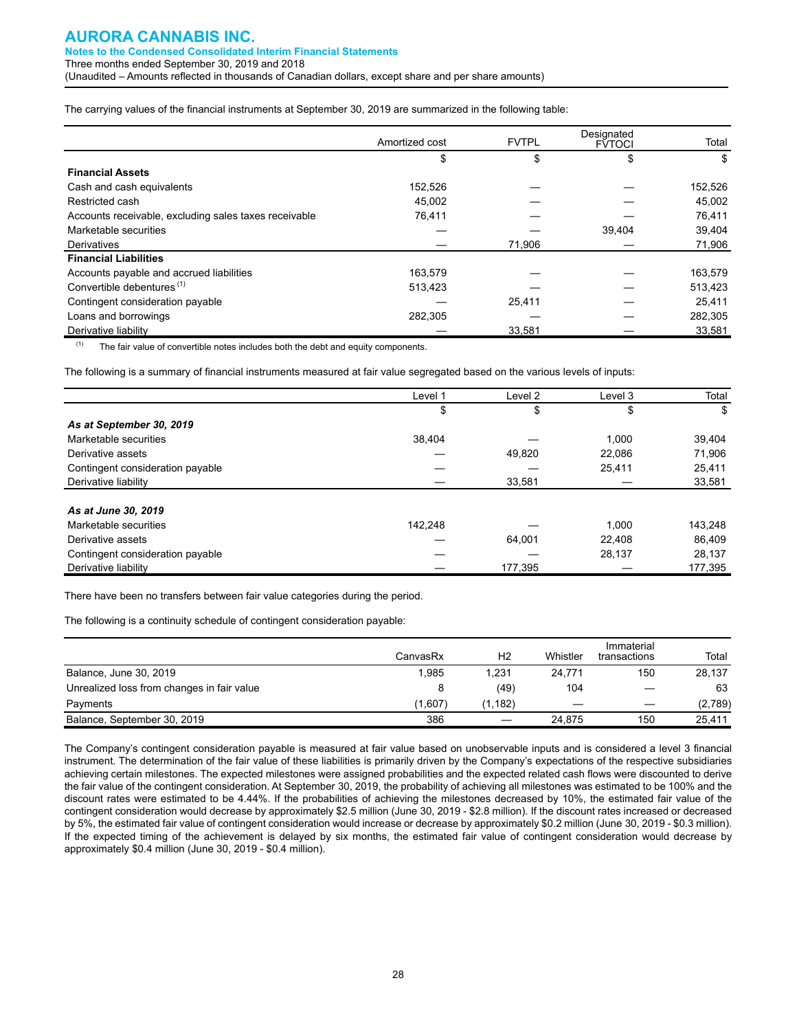The carrying values of the financial instruments at September 30, 2019 are summarized in the following table:

|                                                       | Amortized cost | <b>FVTPL</b> | Designated<br><b>FVTOCI</b> | Total   |
|-------------------------------------------------------|----------------|--------------|-----------------------------|---------|
|                                                       | \$             | S            | S                           | \$      |
| <b>Financial Assets</b>                               |                |              |                             |         |
| Cash and cash equivalents                             | 152.526        |              |                             | 152,526 |
| Restricted cash                                       | 45.002         |              |                             | 45,002  |
| Accounts receivable, excluding sales taxes receivable | 76.411         |              |                             | 76,411  |
| Marketable securities                                 |                |              | 39.404                      | 39,404  |
| Derivatives                                           |                | 71,906       |                             | 71,906  |
| <b>Financial Liabilities</b>                          |                |              |                             |         |
| Accounts payable and accrued liabilities              | 163.579        |              |                             | 163,579 |
| Convertible debentures <sup>(1)</sup>                 | 513,423        |              |                             | 513,423 |
| Contingent consideration payable                      |                | 25,411       |                             | 25.411  |
| Loans and borrowings                                  | 282,305        |              |                             | 282,305 |
| Derivative liability                                  |                | 33,581       |                             | 33,581  |

 $(1)$  The fair value of convertible notes includes both the debt and equity components.

The following is a summary of financial instruments measured at fair value segregated based on the various levels of inputs:

|                                  | Level 1 | Level 2 | Level 3 | Total   |
|----------------------------------|---------|---------|---------|---------|
|                                  | \$      | \$      | \$      | \$      |
| As at September 30, 2019         |         |         |         |         |
| Marketable securities            | 38,404  |         | 1.000   | 39,404  |
| Derivative assets                |         | 49,820  | 22.086  | 71.906  |
| Contingent consideration payable |         |         | 25,411  | 25,411  |
| Derivative liability             |         | 33.581  |         | 33,581  |
|                                  |         |         |         |         |
| As at June 30, 2019              |         |         |         |         |
| Marketable securities            | 142.248 |         | 1.000   | 143,248 |
| Derivative assets                |         | 64.001  | 22.408  | 86.409  |
| Contingent consideration payable |         |         | 28,137  | 28,137  |
| Derivative liability             |         | 177,395 |         | 177,395 |

There have been no transfers between fair value categories during the period.

The following is a continuity schedule of contingent consideration payable:

|                                            | CanvasRx | H <sub>2</sub> | Whistler | Immaterial<br>transactions | Total   |
|--------------------------------------------|----------|----------------|----------|----------------------------|---------|
| Balance, June 30, 2019                     | 1.985    | 1.231          | 24,771   | 150                        | 28,137  |
| Unrealized loss from changes in fair value | 8        | (49)           | 104      |                            | 63      |
| Payments                                   | (1.607)  | (1.182)        |          |                            | (2,789) |
| Balance, September 30, 2019                | 386      |                | 24.875   | 150                        | 25,411  |

The Company's contingent consideration payable is measured at fair value based on unobservable inputs and is considered a level 3 financial instrument. The determination of the fair value of these liabilities is primarily driven by the Company's expectations of the respective subsidiaries achieving certain milestones. The expected milestones were assigned probabilities and the expected related cash flows were discounted to derive the fair value of the contingent consideration. At September 30, 2019, the probability of achieving all milestones was estimated to be 100% and the discount rates were estimated to be 4.44%. If the probabilities of achieving the milestones decreased by 10%, the estimated fair value of the contingent consideration would decrease by approximately \$2.5 million (June 30, 2019 - \$2.8 million). If the discount rates increased or decreased by 5%, the estimated fair value of contingent consideration would increase or decrease by approximately \$0.2 million (June 30, 2019 - \$0.3 million). If the expected timing of the achievement is delayed by six months, the estimated fair value of contingent consideration would decrease by approximately \$0.4 million (June 30, 2019 - \$0.4 million).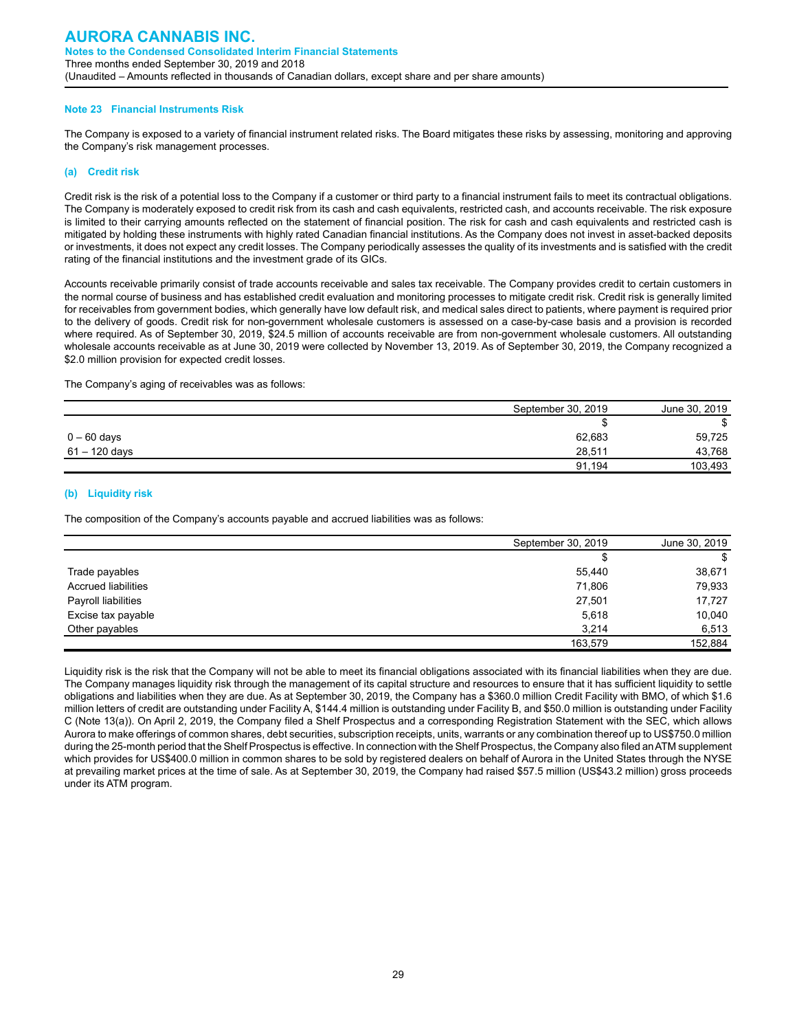#### **Note 23 Financial Instruments Risk**

The Company is exposed to a variety of financial instrument related risks. The Board mitigates these risks by assessing, monitoring and approving the Company's risk management processes.

#### **(a) Credit risk**

Credit risk is the risk of a potential loss to the Company if a customer or third party to a financial instrument fails to meet its contractual obligations. The Company is moderately exposed to credit risk from its cash and cash equivalents, restricted cash, and accounts receivable. The risk exposure is limited to their carrying amounts reflected on the statement of financial position. The risk for cash and cash equivalents and restricted cash is mitigated by holding these instruments with highly rated Canadian financial institutions. As the Company does not invest in asset-backed deposits or investments, it does not expect any credit losses. The Company periodically assesses the quality of its investments and is satisfied with the credit rating of the financial institutions and the investment grade of its GICs.

Accounts receivable primarily consist of trade accounts receivable and sales tax receivable. The Company provides credit to certain customers in the normal course of business and has established credit evaluation and monitoring processes to mitigate credit risk. Credit risk is generally limited for receivables from government bodies, which generally have low default risk, and medical sales direct to patients, where payment is required prior to the delivery of goods. Credit risk for non-government wholesale customers is assessed on a case-by-case basis and a provision is recorded where required. As of September 30, 2019, \$24.5 million of accounts receivable are from non-government wholesale customers. All outstanding wholesale accounts receivable as at June 30, 2019 were collected by November 13, 2019. As of September 30, 2019, the Company recognized a \$2.0 million provision for expected credit losses.

The Company's aging of receivables was as follows:

|                 | September 30, 2019 | June 30, 2019 |
|-----------------|--------------------|---------------|
|                 |                    | \$            |
| $0-60$ days     | 62,683             | 59,725        |
| $61 - 120$ days | 28.511             | 43,768        |
|                 | 91.194             | 103,493       |

#### **(b) Liquidity risk**

The composition of the Company's accounts payable and accrued liabilities was as follows:

|                            | September 30, 2019 | June 30, 2019 |
|----------------------------|--------------------|---------------|
|                            | S                  | S             |
| Trade payables             | 55,440             | 38,671        |
| <b>Accrued liabilities</b> | 71,806             | 79,933        |
| Payroll liabilities        | 27,501             | 17.727        |
| Excise tax payable         | 5,618              | 10,040        |
| Other payables             | 3.214              | 6,513         |
|                            | 163,579            | 152,884       |

Liquidity risk is the risk that the Company will not be able to meet its financial obligations associated with its financial liabilities when they are due. The Company manages liquidity risk through the management of its capital structure and resources to ensure that it has sufficient liquidity to settle obligations and liabilities when they are due. As at September 30, 2019, the Company has a \$360.0 million Credit Facility with BMO, of which \$1.6 million letters of credit are outstanding under Facility A, \$144.4 million is outstanding under Facility B, and \$50.0 million is outstanding under Facility C (Note 13(a)). On April 2, 2019, the Company filed a Shelf Prospectus and a corresponding Registration Statement with the SEC, which allows Aurora to make offerings of common shares, debt securities, subscription receipts, units, warrants or any combination thereof up to US\$750.0 million during the 25-month period that the Shelf Prospectus is effective. In connection with the Shelf Prospectus, the Company also filed an ATM supplement which provides for US\$400.0 million in common shares to be sold by registered dealers on behalf of Aurora in the United States through the NYSE at prevailing market prices at the time of sale. As at September 30, 2019, the Company had raised \$57.5 million (US\$43.2 million) gross proceeds under its ATM program.